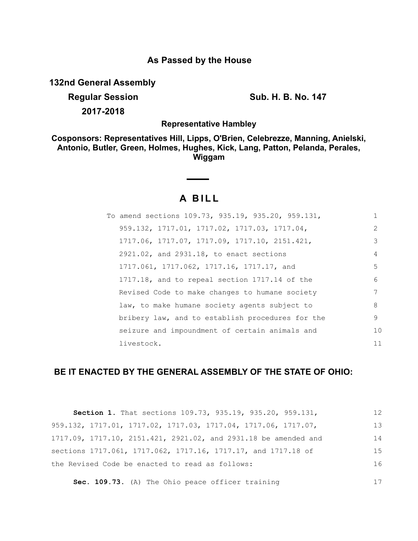## **As Passed by the House**

**132nd General Assembly**

**Regular Session Sub. H. B. No. 147 2017-2018**

**Representative Hambley**

**Cosponsors: Representatives Hill, Lipps, O'Brien, Celebrezze, Manning, Anielski, Antonio, Butler, Green, Holmes, Hughes, Kick, Lang, Patton, Pelanda, Perales, Wiggam**

# **A BILL**

| To amend sections 109.73, 935.19, 935.20, 959.131,           |    |
|--------------------------------------------------------------|----|
| 959.132, 1717.01, 1717.02, 1717.03, 1717.04,                 | 2  |
| $1717.06$ , $1717.07$ , $1717.09$ , $1717.10$ , $2151.421$ , | 3  |
| 2921.02, and 2931.18, to enact sections                      | 4  |
| 1717.061, 1717.062, 1717.16, 1717.17, and                    | 5  |
| $1717.18$ , and to repeal section $1717.14$ of the           | 6  |
| Revised Code to make changes to humane society               | 7  |
| law, to make humane society agents subject to                | 8  |
| bribery law, and to establish procedures for the             | 9  |
| seizure and impoundment of certain animals and               | 10 |
| livestock.                                                   | 11 |

## **BE IT ENACTED BY THE GENERAL ASSEMBLY OF THE STATE OF OHIO:**

| Section 1. That sections 109.73, 935.19, 935.20, 959.131,       | 12 |
|-----------------------------------------------------------------|----|
| 959.132, 1717.01, 1717.02, 1717.03, 1717.04, 1717.06, 1717.07,  | 13 |
| 1717.09, 1717.10, 2151.421, 2921.02, and 2931.18 be amended and | 14 |
| sections 1717.061, 1717.062, 1717.16, 1717.17, and 1717.18 of   | 15 |
| the Revised Code be enacted to read as follows:                 | 16 |

**Sec. 109.73.** (A) The Ohio peace officer training 17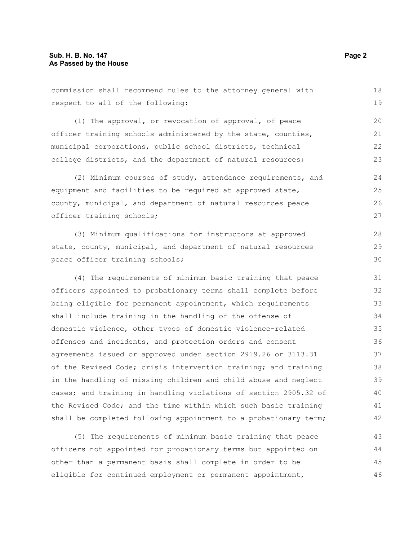commission shall recommend rules to the attorney general with respect to all of the following: (1) The approval, or revocation of approval, of peace officer training schools administered by the state, counties, municipal corporations, public school districts, technical college districts, and the department of natural resources; (2) Minimum courses of study, attendance requirements, and equipment and facilities to be required at approved state, county, municipal, and department of natural resources peace officer training schools; (3) Minimum qualifications for instructors at approved state, county, municipal, and department of natural resources peace officer training schools; (4) The requirements of minimum basic training that peace officers appointed to probationary terms shall complete before being eligible for permanent appointment, which requirements shall include training in the handling of the offense of domestic violence, other types of domestic violence-related offenses and incidents, and protection orders and consent agreements issued or approved under section 2919.26 or 3113.31 of the Revised Code; crisis intervention training; and training in the handling of missing children and child abuse and neglect cases; and training in handling violations of section 2905.32 of the Revised Code; and the time within which such basic training shall be completed following appointment to a probationary term; (5) The requirements of minimum basic training that peace 18 19 20 21 22 23 24 25 26 27 28 29 30 31 32 33 34 35 36 37 38 39 40 41 42 43

officers not appointed for probationary terms but appointed on other than a permanent basis shall complete in order to be eligible for continued employment or permanent appointment, 44 45 46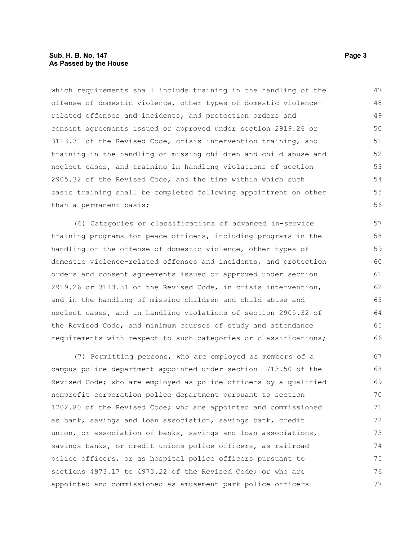## **Sub. H. B. No. 147 Page 3 As Passed by the House**

which requirements shall include training in the handling of the offense of domestic violence, other types of domestic violencerelated offenses and incidents, and protection orders and consent agreements issued or approved under section 2919.26 or 3113.31 of the Revised Code, crisis intervention training, and training in the handling of missing children and child abuse and neglect cases, and training in handling violations of section 2905.32 of the Revised Code, and the time within which such basic training shall be completed following appointment on other than a permanent basis; 47 48 49 50 51 52 53 54 55 56

(6) Categories or classifications of advanced in-service training programs for peace officers, including programs in the handling of the offense of domestic violence, other types of domestic violence-related offenses and incidents, and protection orders and consent agreements issued or approved under section 2919.26 or 3113.31 of the Revised Code, in crisis intervention, and in the handling of missing children and child abuse and neglect cases, and in handling violations of section 2905.32 of the Revised Code, and minimum courses of study and attendance requirements with respect to such categories or classifications;

(7) Permitting persons, who are employed as members of a campus police department appointed under section 1713.50 of the Revised Code; who are employed as police officers by a qualified nonprofit corporation police department pursuant to section 1702.80 of the Revised Code; who are appointed and commissioned as bank, savings and loan association, savings bank, credit union, or association of banks, savings and loan associations, savings banks, or credit unions police officers, as railroad police officers, or as hospital police officers pursuant to sections 4973.17 to 4973.22 of the Revised Code; or who are appointed and commissioned as amusement park police officers 67 68 69 70 71 72 73 74 75 76 77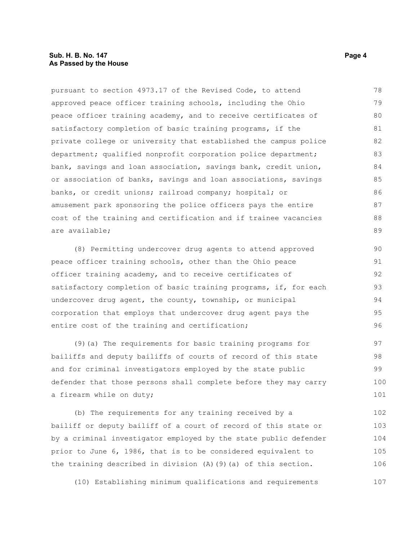## **Sub. H. B. No. 147 Page 4 As Passed by the House**

pursuant to section 4973.17 of the Revised Code, to attend approved peace officer training schools, including the Ohio peace officer training academy, and to receive certificates of satisfactory completion of basic training programs, if the private college or university that established the campus police department; qualified nonprofit corporation police department; bank, savings and loan association, savings bank, credit union, or association of banks, savings and loan associations, savings banks, or credit unions; railroad company; hospital; or amusement park sponsoring the police officers pays the entire cost of the training and certification and if trainee vacancies are available; 78 79 80 81 82 83 84 85 86 87 88 89

(8) Permitting undercover drug agents to attend approved peace officer training schools, other than the Ohio peace officer training academy, and to receive certificates of satisfactory completion of basic training programs, if, for each undercover drug agent, the county, township, or municipal corporation that employs that undercover drug agent pays the entire cost of the training and certification;

(9)(a) The requirements for basic training programs for bailiffs and deputy bailiffs of courts of record of this state and for criminal investigators employed by the state public defender that those persons shall complete before they may carry a firearm while on duty; 97 98 99 100 101

(b) The requirements for any training received by a bailiff or deputy bailiff of a court of record of this state or by a criminal investigator employed by the state public defender prior to June 6, 1986, that is to be considered equivalent to the training described in division (A)(9)(a) of this section. 102 103 104 105 106

(10) Establishing minimum qualifications and requirements 107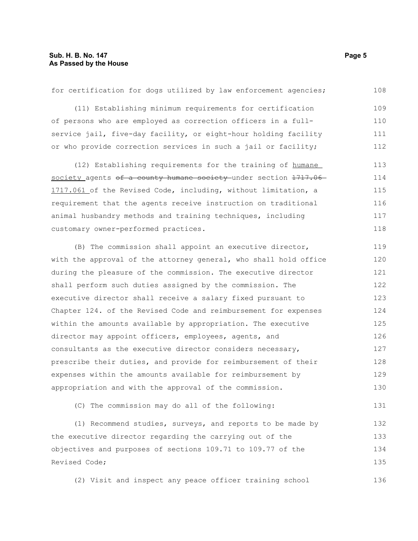for certification for dogs utilized by law enforcement agencies; 108

(11) Establishing minimum requirements for certification of persons who are employed as correction officers in a fullservice jail, five-day facility, or eight-hour holding facility or who provide correction services in such a jail or facility; 109 110 111 112

(12) Establishing requirements for the training of humane society agents of a county humane society under section 1717.06 1717.061 of the Revised Code, including, without limitation, a requirement that the agents receive instruction on traditional animal husbandry methods and training techniques, including customary owner-performed practices. 113 114 115 116 117 118

(B) The commission shall appoint an executive director, with the approval of the attorney general, who shall hold office during the pleasure of the commission. The executive director shall perform such duties assigned by the commission. The executive director shall receive a salary fixed pursuant to Chapter 124. of the Revised Code and reimbursement for expenses within the amounts available by appropriation. The executive director may appoint officers, employees, agents, and consultants as the executive director considers necessary, prescribe their duties, and provide for reimbursement of their expenses within the amounts available for reimbursement by appropriation and with the approval of the commission. 119 120 121 122 123 124 125 126 127 128 129 130

(C) The commission may do all of the following:

(1) Recommend studies, surveys, and reports to be made by the executive director regarding the carrying out of the objectives and purposes of sections 109.71 to 109.77 of the Revised Code; 132 133 134 135

(2) Visit and inspect any peace officer training school 136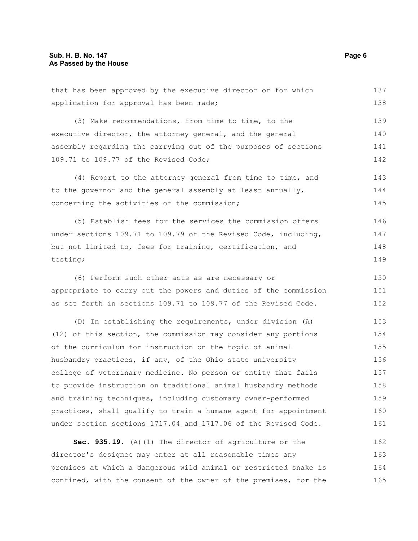that has been approved by the executive director or for which application for approval has been made; (3) Make recommendations, from time to time, to the executive director, the attorney general, and the general assembly regarding the carrying out of the purposes of sections 109.71 to 109.77 of the Revised Code; (4) Report to the attorney general from time to time, and to the governor and the general assembly at least annually, concerning the activities of the commission; (5) Establish fees for the services the commission offers under sections 109.71 to 109.79 of the Revised Code, including, but not limited to, fees for training, certification, and testing; (6) Perform such other acts as are necessary or appropriate to carry out the powers and duties of the commission as set forth in sections 109.71 to 109.77 of the Revised Code. (D) In establishing the requirements, under division (A) (12) of this section, the commission may consider any portions of the curriculum for instruction on the topic of animal husbandry practices, if any, of the Ohio state university college of veterinary medicine. No person or entity that fails to provide instruction on traditional animal husbandry methods and training techniques, including customary owner-performed practices, shall qualify to train a humane agent for appointment under section-sections 1717.04 and 1717.06 of the Revised Code. **Sec. 935.19.** (A)(1) The director of agriculture or the director's designee may enter at all reasonable times any 137 138 139 140 141 142 143 144 145 146 147 148 149 150 151 152 153 154 155 156 157 158 159 160 161 162 163

premises at which a dangerous wild animal or restricted snake is confined, with the consent of the owner of the premises, for the 164 165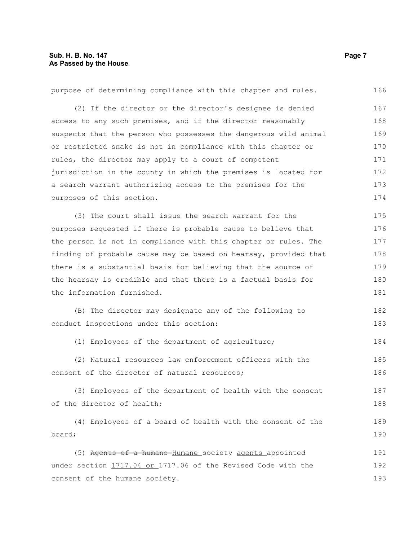| purpose of determining compliance with this chapter and rules.   | 166 |
|------------------------------------------------------------------|-----|
| (2) If the director or the director's designee is denied         | 167 |
| access to any such premises, and if the director reasonably      | 168 |
| suspects that the person who possesses the dangerous wild animal | 169 |
| or restricted snake is not in compliance with this chapter or    | 170 |
| rules, the director may apply to a court of competent            | 171 |
| jurisdiction in the county in which the premises is located for  | 172 |
| a search warrant authorizing access to the premises for the      | 173 |
| purposes of this section.                                        | 174 |
| (3) The court shall issue the search warrant for the             | 175 |
| purposes requested if there is probable cause to believe that    | 176 |
| the person is not in compliance with this chapter or rules. The  | 177 |
| finding of probable cause may be based on hearsay, provided that | 178 |
| there is a substantial basis for believing that the source of    | 179 |
| the hearsay is credible and that there is a factual basis for    | 180 |
| the information furnished.                                       | 181 |
| (B) The director may designate any of the following to           | 182 |
| conduct inspections under this section:                          | 183 |
| (1) Employees of the department of agriculture;                  | 184 |
| (2) Natural resources law enforcement officers with the          | 185 |
| consent of the director of natural resources;                    | 186 |
| (3) Employees of the department of health with the consent       | 187 |
| of the director of health;                                       | 188 |
| (4) Employees of a board of health with the consent of the       | 189 |
| board;                                                           | 190 |
| (5) Agents of a humane Humane society agents appointed           | 191 |
| under section 1717.04 or 1717.06 of the Revised Code with the    | 192 |
| consent of the humane society.                                   | 193 |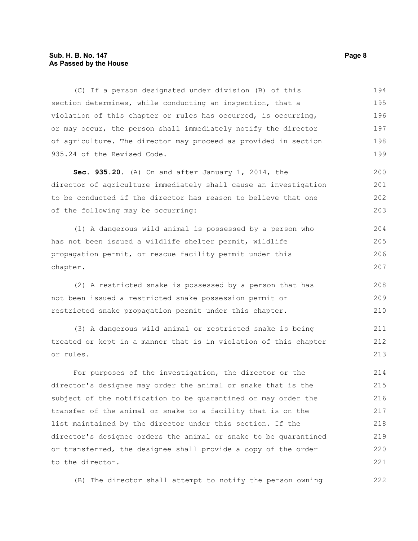## **Sub. H. B. No. 147 Page 8 As Passed by the House**

(C) If a person designated under division (B) of this section determines, while conducting an inspection, that a violation of this chapter or rules has occurred, is occurring, or may occur, the person shall immediately notify the director of agriculture. The director may proceed as provided in section 935.24 of the Revised Code. 194 195 196 197 198 199

**Sec. 935.20.** (A) On and after January 1, 2014, the director of agriculture immediately shall cause an investigation to be conducted if the director has reason to believe that one of the following may be occurring: 200 201 202 203

(1) A dangerous wild animal is possessed by a person who has not been issued a wildlife shelter permit, wildlife propagation permit, or rescue facility permit under this chapter. 204 205 206 207

(2) A restricted snake is possessed by a person that has not been issued a restricted snake possession permit or restricted snake propagation permit under this chapter. 208 209 210

(3) A dangerous wild animal or restricted snake is being treated or kept in a manner that is in violation of this chapter or rules.

For purposes of the investigation, the director or the director's designee may order the animal or snake that is the subject of the notification to be quarantined or may order the transfer of the animal or snake to a facility that is on the list maintained by the director under this section. If the director's designee orders the animal or snake to be quarantined or transferred, the designee shall provide a copy of the order to the director. 214 215 216 217 218 219 220 221

(B) The director shall attempt to notify the person owning 222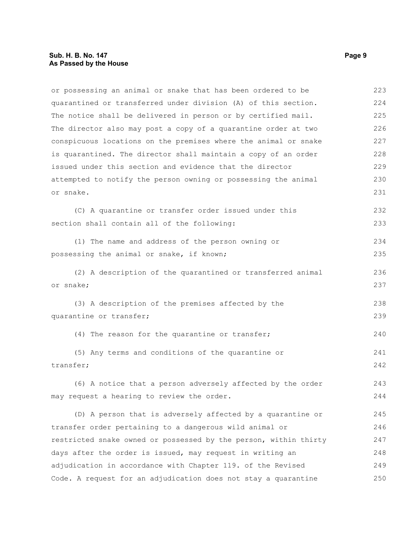## **Sub. H. B. No. 147 Page 9 As Passed by the House**

or possessing an animal or snake that has been ordered to be quarantined or transferred under division (A) of this section. The notice shall be delivered in person or by certified mail. The director also may post a copy of a quarantine order at two conspicuous locations on the premises where the animal or snake is quarantined. The director shall maintain a copy of an order issued under this section and evidence that the director attempted to notify the person owning or possessing the animal or snake. (C) A quarantine or transfer order issued under this section shall contain all of the following: (1) The name and address of the person owning or possessing the animal or snake, if known; (2) A description of the quarantined or transferred animal or snake; (3) A description of the premises affected by the quarantine or transfer; (4) The reason for the quarantine or transfer; (5) Any terms and conditions of the quarantine or transfer; (6) A notice that a person adversely affected by the order may request a hearing to review the order. (D) A person that is adversely affected by a quarantine or transfer order pertaining to a dangerous wild animal or restricted snake owned or possessed by the person, within thirty days after the order is issued, may request in writing an adjudication in accordance with Chapter 119. of the Revised Code. A request for an adjudication does not stay a quarantine 223 224 225 226 227 228 229 230 231 232 233 234 235 236 237 238 239 240 241 242 243 244 245 246 247 248 249 250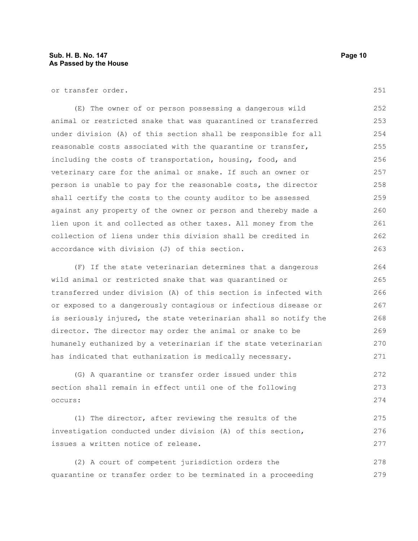or transfer order.

(E) The owner of or person possessing a dangerous wild animal or restricted snake that was quarantined or transferred under division (A) of this section shall be responsible for all reasonable costs associated with the quarantine or transfer, including the costs of transportation, housing, food, and veterinary care for the animal or snake. If such an owner or person is unable to pay for the reasonable costs, the director shall certify the costs to the county auditor to be assessed against any property of the owner or person and thereby made a lien upon it and collected as other taxes. All money from the collection of liens under this division shall be credited in accordance with division (J) of this section. 252 253 254 255 256 257 258 259 260 261 262 263

(F) If the state veterinarian determines that a dangerous wild animal or restricted snake that was quarantined or transferred under division (A) of this section is infected with or exposed to a dangerously contagious or infectious disease or is seriously injured, the state veterinarian shall so notify the director. The director may order the animal or snake to be humanely euthanized by a veterinarian if the state veterinarian has indicated that euthanization is medically necessary. 264 265 266 267 268 269 270 271

(G) A quarantine or transfer order issued under this section shall remain in effect until one of the following occurs: 272 273 274

(1) The director, after reviewing the results of the investigation conducted under division (A) of this section, issues a written notice of release. 275 276 277

(2) A court of competent jurisdiction orders the quarantine or transfer order to be terminated in a proceeding 278 279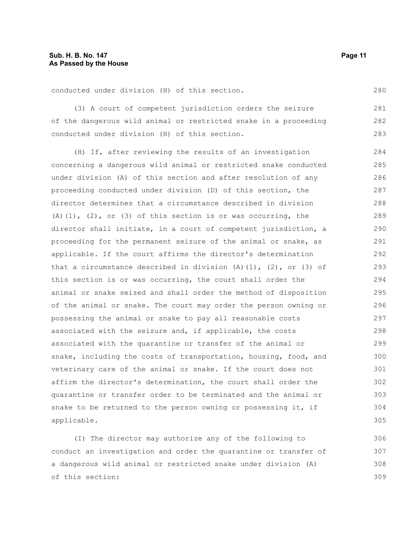280

conducted under division (H) of this section.

(3) A court of competent jurisdiction orders the seizure of the dangerous wild animal or restricted snake in a proceeding conducted under division (H) of this section. 281 282 283

(H) If, after reviewing the results of an investigation concerning a dangerous wild animal or restricted snake conducted under division (A) of this section and after resolution of any proceeding conducted under division (D) of this section, the director determines that a circumstance described in division (A)(1), (2), or (3) of this section is or was occurring, the director shall initiate, in a court of competent jurisdiction, a proceeding for the permanent seizure of the animal or snake, as applicable. If the court affirms the director's determination that a circumstance described in division  $(A)$   $(1)$ ,  $(2)$ , or  $(3)$  of this section is or was occurring, the court shall order the animal or snake seized and shall order the method of disposition of the animal or snake. The court may order the person owning or possessing the animal or snake to pay all reasonable costs associated with the seizure and, if applicable, the costs associated with the quarantine or transfer of the animal or snake, including the costs of transportation, housing, food, and veterinary care of the animal or snake. If the court does not affirm the director's determination, the court shall order the quarantine or transfer order to be terminated and the animal or snake to be returned to the person owning or possessing it, if applicable. 284 285 286 287 288 289 290 291 292 293 294 295 296 297 298 299 300 301 302 303 304 305

(I) The director may authorize any of the following to conduct an investigation and order the quarantine or transfer of a dangerous wild animal or restricted snake under division (A) of this section: 306 307 308 309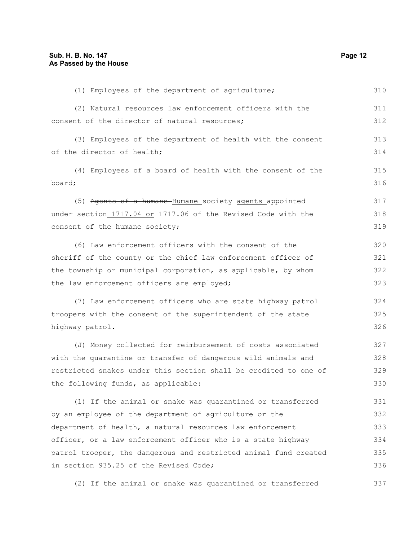(1) Employees of the department of agriculture; (2) Natural resources law enforcement officers with the consent of the director of natural resources; (3) Employees of the department of health with the consent of the director of health; (4) Employees of a board of health with the consent of the board; (5) Agents of a humane Humane society agents appointed under section 1717.04 or 1717.06 of the Revised Code with the consent of the humane society; (6) Law enforcement officers with the consent of the sheriff of the county or the chief law enforcement officer of the township or municipal corporation, as applicable, by whom the law enforcement officers are employed; (7) Law enforcement officers who are state highway patrol troopers with the consent of the superintendent of the state highway patrol. (J) Money collected for reimbursement of costs associated with the quarantine or transfer of dangerous wild animals and restricted snakes under this section shall be credited to one of the following funds, as applicable: (1) If the animal or snake was quarantined or transferred by an employee of the department of agriculture or the department of health, a natural resources law enforcement officer, or a law enforcement officer who is a state highway patrol trooper, the dangerous and restricted animal fund created in section 935.25 of the Revised Code; (2) If the animal or snake was quarantined or transferred 310 311 312 313 314 315 316 317 318 319 320 321 322 323 324 325 326 327 328 329 330 331 332 333 334 335 336 337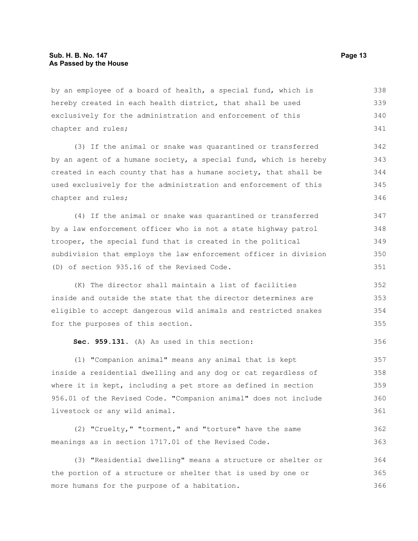by an employee of a board of health, a special fund, which is hereby created in each health district, that shall be used exclusively for the administration and enforcement of this chapter and rules; (3) If the animal or snake was quarantined or transferred by an agent of a humane society, a special fund, which is hereby 338 339 340 341 342 343

created in each county that has a humane society, that shall be used exclusively for the administration and enforcement of this chapter and rules; 344 345 346

(4) If the animal or snake was quarantined or transferred by a law enforcement officer who is not a state highway patrol trooper, the special fund that is created in the political subdivision that employs the law enforcement officer in division (D) of section 935.16 of the Revised Code. 347 348 349 350 351

(K) The director shall maintain a list of facilities inside and outside the state that the director determines are eligible to accept dangerous wild animals and restricted snakes for the purposes of this section. 352 353 354 355

**Sec. 959.131.** (A) As used in this section:

(1) "Companion animal" means any animal that is kept inside a residential dwelling and any dog or cat regardless of where it is kept, including a pet store as defined in section 956.01 of the Revised Code. "Companion animal" does not include livestock or any wild animal. 357 358 359 360 361

(2) "Cruelty," "torment," and "torture" have the same meanings as in section 1717.01 of the Revised Code. 362 363

(3) "Residential dwelling" means a structure or shelter or the portion of a structure or shelter that is used by one or more humans for the purpose of a habitation. 364 365 366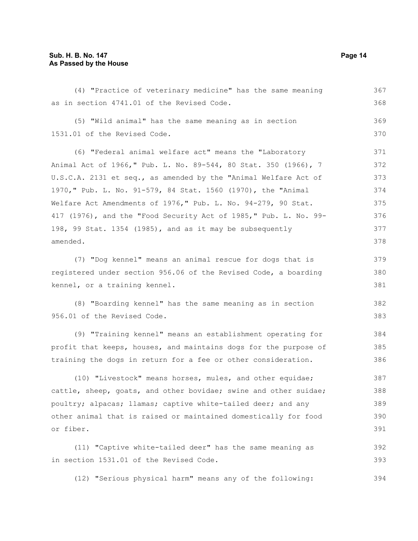## **Sub. H. B. No. 147 Page 14 As Passed by the House**

(4) "Practice of veterinary medicine" has the same meaning as in section 4741.01 of the Revised Code. (5) "Wild animal" has the same meaning as in section 1531.01 of the Revised Code. (6) "Federal animal welfare act" means the "Laboratory Animal Act of 1966," Pub. L. No. 89-544, 80 Stat. 350 (1966), 7 U.S.C.A. 2131 et seq., as amended by the "Animal Welfare Act of 1970," Pub. L. No. 91-579, 84 Stat. 1560 (1970), the "Animal Welfare Act Amendments of 1976," Pub. L. No. 94-279, 90 Stat. 417 (1976), and the "Food Security Act of 1985," Pub. L. No. 99- 198, 99 Stat. 1354 (1985), and as it may be subsequently amended. (7) "Dog kennel" means an animal rescue for dogs that is registered under section 956.06 of the Revised Code, a boarding kennel, or a training kennel. (8) "Boarding kennel" has the same meaning as in section 956.01 of the Revised Code. (9) "Training kennel" means an establishment operating for profit that keeps, houses, and maintains dogs for the purpose of training the dogs in return for a fee or other consideration. (10) "Livestock" means horses, mules, and other equidae; cattle, sheep, goats, and other bovidae; swine and other suidae; poultry; alpacas; llamas; captive white-tailed deer; and any other animal that is raised or maintained domestically for food or fiber. (11) "Captive white-tailed deer" has the same meaning as in section 1531.01 of the Revised Code. (12) "Serious physical harm" means any of the following: 367 368 369 370 371 372 373 374 375 376 377 378 379 380 381 382 383 384 385 386 387 388 389 390 391 392 393 394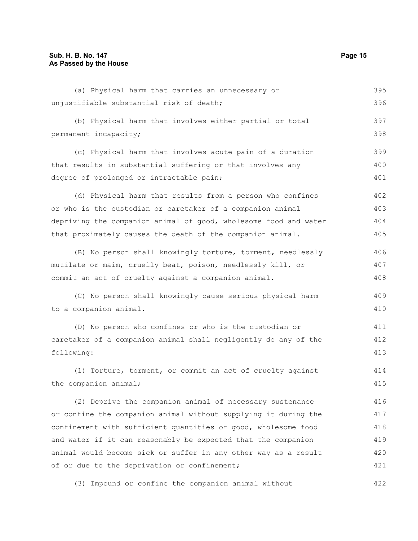(a) Physical harm that carries an unnecessary or unjustifiable substantial risk of death; (b) Physical harm that involves either partial or total permanent incapacity; (c) Physical harm that involves acute pain of a duration that results in substantial suffering or that involves any degree of prolonged or intractable pain; (d) Physical harm that results from a person who confines or who is the custodian or caretaker of a companion animal depriving the companion animal of good, wholesome food and water that proximately causes the death of the companion animal. (B) No person shall knowingly torture, torment, needlessly mutilate or maim, cruelly beat, poison, needlessly kill, or commit an act of cruelty against a companion animal. (C) No person shall knowingly cause serious physical harm to a companion animal. (D) No person who confines or who is the custodian or caretaker of a companion animal shall negligently do any of the following: (1) Torture, torment, or commit an act of cruelty against the companion animal; (2) Deprive the companion animal of necessary sustenance or confine the companion animal without supplying it during the confinement with sufficient quantities of good, wholesome food and water if it can reasonably be expected that the companion animal would become sick or suffer in any other way as a result of or due to the deprivation or confinement; 395 396 397 398 399 400 401 402 403 404 405 406 407 408 409 410 411 412 413 414 415 416 417 418 419 420 421

(3) Impound or confine the companion animal without 422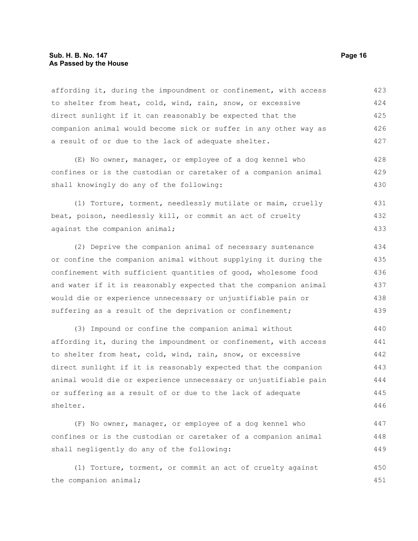## **Sub. H. B. No. 147 Page 16 As Passed by the House**

affording it, during the impoundment or confinement, with access to shelter from heat, cold, wind, rain, snow, or excessive direct sunlight if it can reasonably be expected that the companion animal would become sick or suffer in any other way as a result of or due to the lack of adequate shelter. 423 424 425 426 427

(E) No owner, manager, or employee of a dog kennel who confines or is the custodian or caretaker of a companion animal shall knowingly do any of the following: 428 429 430

(1) Torture, torment, needlessly mutilate or maim, cruelly beat, poison, needlessly kill, or commit an act of cruelty against the companion animal; 431 432 433

(2) Deprive the companion animal of necessary sustenance or confine the companion animal without supplying it during the confinement with sufficient quantities of good, wholesome food and water if it is reasonably expected that the companion animal would die or experience unnecessary or unjustifiable pain or suffering as a result of the deprivation or confinement;

(3) Impound or confine the companion animal without affording it, during the impoundment or confinement, with access to shelter from heat, cold, wind, rain, snow, or excessive direct sunlight if it is reasonably expected that the companion animal would die or experience unnecessary or unjustifiable pain or suffering as a result of or due to the lack of adequate shelter. 440 441 442 443 444 445 446

(F) No owner, manager, or employee of a dog kennel who confines or is the custodian or caretaker of a companion animal shall negligently do any of the following: 447 448 449

(1) Torture, torment, or commit an act of cruelty against the companion animal; 450 451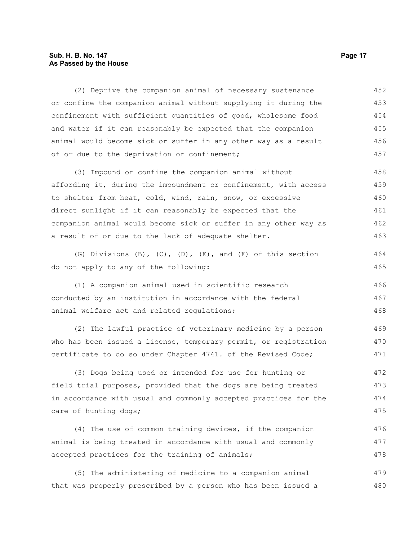## **Sub. H. B. No. 147 Page 17 As Passed by the House**

(2) Deprive the companion animal of necessary sustenance or confine the companion animal without supplying it during the confinement with sufficient quantities of good, wholesome food and water if it can reasonably be expected that the companion animal would become sick or suffer in any other way as a result of or due to the deprivation or confinement; 452 453 454 455 456 457

(3) Impound or confine the companion animal without affording it, during the impoundment or confinement, with access to shelter from heat, cold, wind, rain, snow, or excessive direct sunlight if it can reasonably be expected that the companion animal would become sick or suffer in any other way as a result of or due to the lack of adequate shelter. 458 459 460 461 462 463

(G) Divisions  $(B)$ ,  $(C)$ ,  $(D)$ ,  $(E)$ , and  $(F)$  of this section do not apply to any of the following:

(1) A companion animal used in scientific research conducted by an institution in accordance with the federal animal welfare act and related regulations; 466 467 468

(2) The lawful practice of veterinary medicine by a person who has been issued a license, temporary permit, or registration certificate to do so under Chapter 4741. of the Revised Code; 469 470 471

(3) Dogs being used or intended for use for hunting or field trial purposes, provided that the dogs are being treated in accordance with usual and commonly accepted practices for the care of hunting dogs; 472 473 474 475

(4) The use of common training devices, if the companion animal is being treated in accordance with usual and commonly accepted practices for the training of animals; 476 477 478

(5) The administering of medicine to a companion animal that was properly prescribed by a person who has been issued a 479 480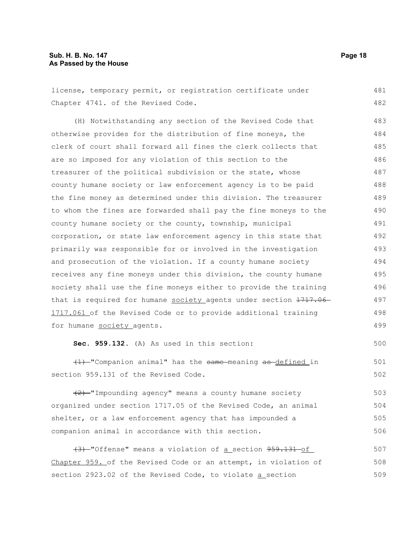| license, temporary permit, or registration certificate under     | 481 |
|------------------------------------------------------------------|-----|
| Chapter 4741. of the Revised Code.                               | 482 |
| (H) Notwithstanding any section of the Revised Code that         | 483 |
| otherwise provides for the distribution of fine moneys, the      | 484 |
| clerk of court shall forward all fines the clerk collects that   | 485 |
| are so imposed for any violation of this section to the          | 486 |
| treasurer of the political subdivision or the state, whose       | 487 |
| county humane society or law enforcement agency is to be paid    | 488 |
| the fine money as determined under this division. The treasurer  | 489 |
| to whom the fines are forwarded shall pay the fine moneys to the | 490 |
| county humane society or the county, township, municipal         | 491 |
| corporation, or state law enforcement agency in this state that  | 492 |
| primarily was responsible for or involved in the investigation   | 493 |
| and prosecution of the violation. If a county humane society     | 494 |
| receives any fine moneys under this division, the county humane  | 495 |
| society shall use the fine moneys either to provide the training | 496 |
| that is required for humane society agents under section 1717.06 | 497 |
| 1717.061 of the Revised Code or to provide additional training   | 498 |
| for humane society agents.                                       | 499 |
| Sec. 959.132. (A) As used in this section:                       | 500 |
| (1) "Companion animal" has the same meaning as defined in        | 501 |
| section 959.131 of the Revised Code.                             | 502 |
| (2) "Impounding agency" means a county humane society            | 503 |
| organized under section 1717.05 of the Revised Code, an animal   | 504 |
| shelter, or a law enforcement agency that has impounded a        | 505 |
| companion animal in accordance with this section.                | 506 |
| (3) "Offense" means a violation of a section 959.131 of          | 507 |
| Chapter 959. of the Revised Code or an attempt, in violation of  | 508 |
| section 2923.02 of the Revised Code, to violate a section        | 509 |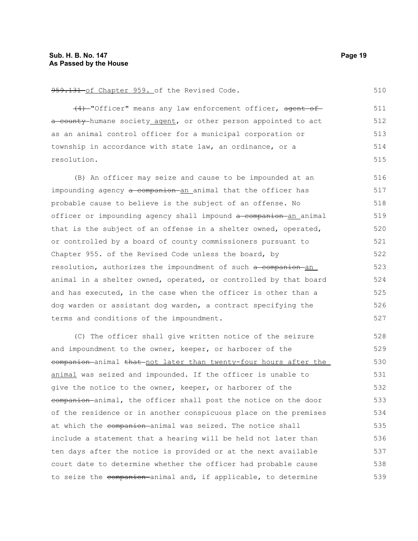#### 959.131 of Chapter 959. of the Revised Code.

(4) "Officer" means any law enforcement officer, agent of a county humane society agent, or other person appointed to act as an animal control officer for a municipal corporation or township in accordance with state law, an ordinance, or a resolution.

(B) An officer may seize and cause to be impounded at an impounding agency a companion an animal that the officer has probable cause to believe is the subject of an offense. No officer or impounding agency shall impound a companion an animal that is the subject of an offense in a shelter owned, operated, or controlled by a board of county commissioners pursuant to Chapter 955. of the Revised Code unless the board, by resolution, authorizes the impoundment of such a companion an animal in a shelter owned, operated, or controlled by that board and has executed, in the case when the officer is other than a dog warden or assistant dog warden, a contract specifying the terms and conditions of the impoundment. 516 517 518 519 520 521 522 523 524 525 526 527

(C) The officer shall give written notice of the seizure and impoundment to the owner, keeper, or harborer of the companion animal that not later than twenty-four hours after the animal was seized and impounded. If the officer is unable to give the notice to the owner, keeper, or harborer of the eompanion animal, the officer shall post the notice on the door of the residence or in another conspicuous place on the premises at which the companion animal was seized. The notice shall include a statement that a hearing will be held not later than ten days after the notice is provided or at the next available court date to determine whether the officer had probable cause to seize the companion-animal and, if applicable, to determine 528 529 530 531 532 533 534 535 536 537 538 539

510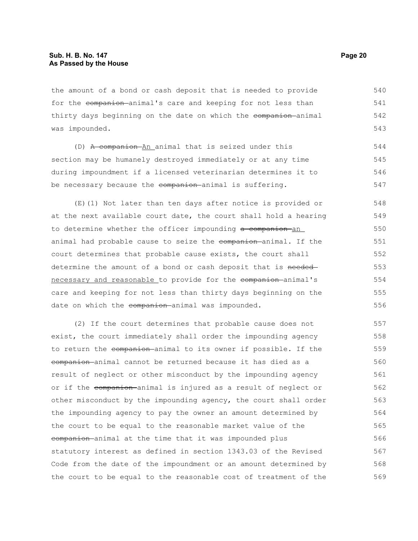the amount of a bond or cash deposit that is needed to provide for the companion-animal's care and keeping for not less than thirty days beginning on the date on which the companion-animal was impounded. 540 541 542 543

(D) A companion An animal that is seized under this section may be humanely destroyed immediately or at any time during impoundment if a licensed veterinarian determines it to be necessary because the companion-animal is suffering. 544 545 546 547

(E)(1) Not later than ten days after notice is provided or at the next available court date, the court shall hold a hearing to determine whether the officer impounding a companion-an animal had probable cause to seize the companion-animal. If the court determines that probable cause exists, the court shall determine the amount of a bond or cash deposit that is needednecessary and reasonable to provide for the companion animal's care and keeping for not less than thirty days beginning on the date on which the companion-animal was impounded.

(2) If the court determines that probable cause does not exist, the court immediately shall order the impounding agency to return the companion animal to its owner if possible. If the eompanion animal cannot be returned because it has died as a result of neglect or other misconduct by the impounding agency or if the companion-animal is injured as a result of neglect or other misconduct by the impounding agency, the court shall order the impounding agency to pay the owner an amount determined by the court to be equal to the reasonable market value of the companion animal at the time that it was impounded plus statutory interest as defined in section 1343.03 of the Revised Code from the date of the impoundment or an amount determined by the court to be equal to the reasonable cost of treatment of the 557 558 559 560 561 562 563 564 565 566 567 568 569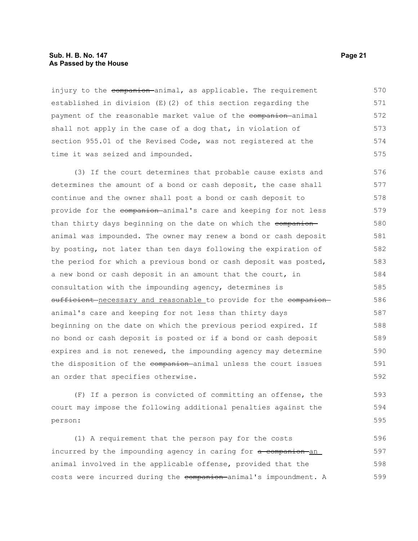## **Sub. H. B. No. 147 Page 21 As Passed by the House**

injury to the companion-animal, as applicable. The requirement established in division (E)(2) of this section regarding the payment of the reasonable market value of the companion-animal shall not apply in the case of a dog that, in violation of section 955.01 of the Revised Code, was not registered at the time it was seized and impounded. 570 571 572 573 574 575

(3) If the court determines that probable cause exists and determines the amount of a bond or cash deposit, the case shall continue and the owner shall post a bond or cash deposit to provide for the companion animal's care and keeping for not less than thirty days beginning on the date on which the companionanimal was impounded. The owner may renew a bond or cash deposit by posting, not later than ten days following the expiration of the period for which a previous bond or cash deposit was posted, a new bond or cash deposit in an amount that the court, in consultation with the impounding agency, determines is sufficient necessary and reasonable to provide for the companion animal's care and keeping for not less than thirty days beginning on the date on which the previous period expired. If no bond or cash deposit is posted or if a bond or cash deposit expires and is not renewed, the impounding agency may determine the disposition of the companion-animal unless the court issues an order that specifies otherwise. 576 577 578 579 580 581 582 583 584 585 586 587 588 589 590 591 592

(F) If a person is convicted of committing an offense, the court may impose the following additional penalties against the person: 593 594 595

(1) A requirement that the person pay for the costs incurred by the impounding agency in caring for a companion an animal involved in the applicable offense, provided that the costs were incurred during the companion-animal's impoundment. A 596 597 598 599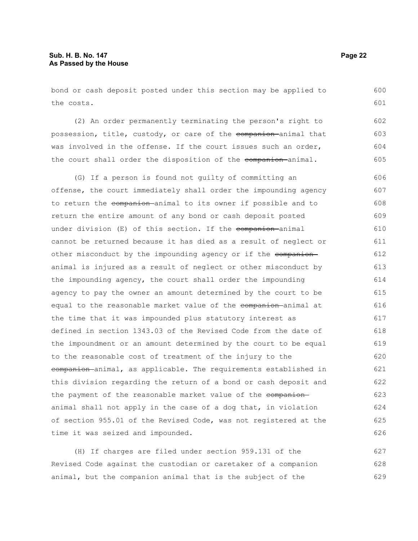bond or cash deposit posted under this section may be applied to the costs.

(2) An order permanently terminating the person's right to possession, title, custody, or care of the companion animal that was involved in the offense. If the court issues such an order, the court shall order the disposition of the companion-animal.

(G) If a person is found not guilty of committing an offense, the court immediately shall order the impounding agency to return the companion animal to its owner if possible and to return the entire amount of any bond or cash deposit posted under division (E) of this section. If the companion-animal cannot be returned because it has died as a result of neglect or other misconduct by the impounding agency or if the companionanimal is injured as a result of neglect or other misconduct by the impounding agency, the court shall order the impounding agency to pay the owner an amount determined by the court to be equal to the reasonable market value of the companion-animal at the time that it was impounded plus statutory interest as defined in section 1343.03 of the Revised Code from the date of the impoundment or an amount determined by the court to be equal to the reasonable cost of treatment of the injury to the eompanion-animal, as applicable. The requirements established in this division regarding the return of a bond or cash deposit and the payment of the reasonable market value of the companionanimal shall not apply in the case of a dog that, in violation of section 955.01 of the Revised Code, was not registered at the time it was seized and impounded. 606 607 608 609 610 611 612 613 614 615 616 617 618 619 620 621 622 623 624 625 626

(H) If charges are filed under section 959.131 of the Revised Code against the custodian or caretaker of a companion animal, but the companion animal that is the subject of the 627 628 629

600 601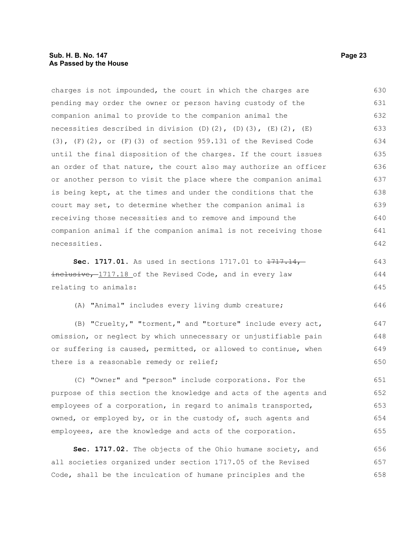charges is not impounded, the court in which the charges are pending may order the owner or person having custody of the companion animal to provide to the companion animal the necessities described in division  $(D)(2)$ ,  $(D)(3)$ ,  $(E)(2)$ ,  $(E)$ (3), (F)(2), or (F)(3) of section 959.131 of the Revised Code until the final disposition of the charges. If the court issues an order of that nature, the court also may authorize an officer or another person to visit the place where the companion animal is being kept, at the times and under the conditions that the court may set, to determine whether the companion animal is receiving those necessities and to remove and impound the companion animal if the companion animal is not receiving those necessities. **Sec. 1717.01.** As used in sections 1717.01 to  $\frac{1717.14}{7}$ 630 631 632 633 634 635 636 637 638 639 640 641 642 643

inclusive, 1717.18 of the Revised Code, and in every law relating to animals: 644 645

(A) "Animal" includes every living dumb creature;

(B) "Cruelty," "torment," and "torture" include every act, omission, or neglect by which unnecessary or unjustifiable pain or suffering is caused, permitted, or allowed to continue, when there is a reasonable remedy or relief; 647 648 649 650

(C) "Owner" and "person" include corporations. For the purpose of this section the knowledge and acts of the agents and employees of a corporation, in regard to animals transported, owned, or employed by, or in the custody of, such agents and employees, are the knowledge and acts of the corporation. 652

**Sec. 1717.02.** The objects of the Ohio humane society, and all societies organized under section 1717.05 of the Revised Code, shall be the inculcation of humane principles and the 656 657 658

646

651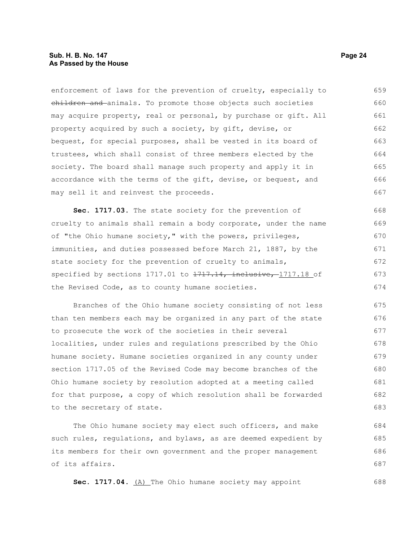enforcement of laws for the prevention of cruelty, especially to children and animals. To promote those objects such societies may acquire property, real or personal, by purchase or gift. All property acquired by such a society, by gift, devise, or bequest, for special purposes, shall be vested in its board of trustees, which shall consist of three members elected by the society. The board shall manage such property and apply it in accordance with the terms of the gift, devise, or bequest, and may sell it and reinvest the proceeds. 659 660 661 662 663 664 665 666 667

**Sec. 1717.03.** The state society for the prevention of cruelty to animals shall remain a body corporate, under the name of "the Ohio humane society," with the powers, privileges, immunities, and duties possessed before March 21, 1887, by the state society for the prevention of cruelty to animals, specified by sections  $1717.01$  to  $\frac{1717.14}{1000}$ , inclusive,  $\frac{1717.18}{1000}$ the Revised Code, as to county humane societies. 668 669 670 671 672 673 674

Branches of the Ohio humane society consisting of not less than ten members each may be organized in any part of the state to prosecute the work of the societies in their several localities, under rules and regulations prescribed by the Ohio humane society. Humane societies organized in any county under section 1717.05 of the Revised Code may become branches of the Ohio humane society by resolution adopted at a meeting called for that purpose, a copy of which resolution shall be forwarded to the secretary of state. 675 676 677 678 679 680 681 682 683

The Ohio humane society may elect such officers, and make such rules, regulations, and bylaws, as are deemed expedient by its members for their own government and the proper management of its affairs. 684 685 686 687

**Sec. 1717.04.** (A) The Ohio humane society may appoint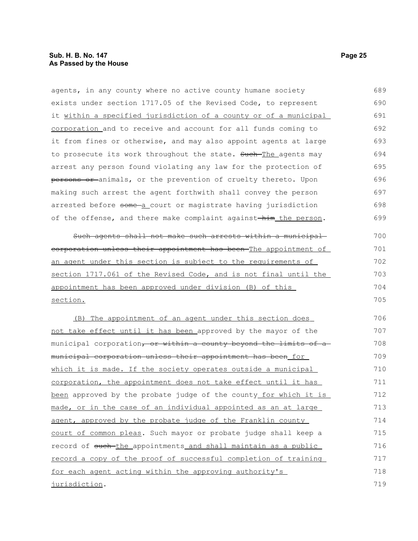| agents, in any county where no active county humane society                   | 689 |
|-------------------------------------------------------------------------------|-----|
| exists under section 1717.05 of the Revised Code, to represent                | 690 |
| it within a specified jurisdiction of a county or of a municipal              | 691 |
| corporation and to receive and account for all funds coming to                | 692 |
| it from fines or otherwise, and may also appoint agents at large              | 693 |
| to prosecute its work throughout the state. Such-The agents may               | 694 |
| arrest any person found violating any law for the protection of               | 695 |
| persons or animals, or the prevention of cruelty thereto. Upon                | 696 |
| making such arrest the agent forthwith shall convey the person                | 697 |
| arrested before some a court or magistrate having jurisdiction                | 698 |
| of the offense, and there make complaint against-him the person.              | 699 |
| Such agents shall not make such arrests within a municipal-                   | 700 |
| <u>corporation unless their appointment has been-The appointment of </u>      | 701 |
| an agent under this section is subject to the requirements of                 | 702 |
| section 1717.061 of the Revised Code, and is not final until the              | 703 |
| appointment has been approved under division (B) of this                      | 704 |
| section.                                                                      | 705 |
| (B) The appointment of an agent under this section does                       | 706 |
| not take effect until it has been approved by the mayor of the                | 707 |
| municipal corporation <del>, or within a county beyond the limits of a-</del> | 708 |
| <u>municipal corporation unless their appointment has been for </u>           | 709 |
| which it is made. If the society operates outside a municipal                 | 710 |
| corporation, the appointment does not take effect until it has                | 711 |
| been approved by the probate judge of the county for which it is              | 712 |
| made, or in the case of an individual appointed as an at large                | 713 |
| agent, approved by the probate judge of the Franklin county                   | 714 |
| court of common pleas. Such mayor or probate judge shall keep a               | 715 |
| record of such-the appointments and shall maintain as a public                | 716 |
| record a copy of the proof of successful completion of training               | 717 |
| for each agent acting within the approving authority's                        | 718 |
| jurisdiction.                                                                 | 719 |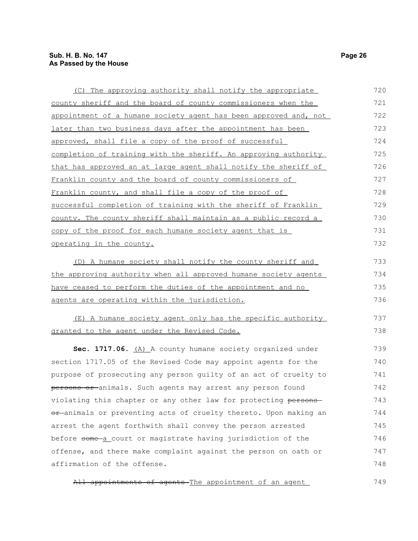affirmation of the offense.

| (C) The approving authority shall notify the appropriate         | 720 |
|------------------------------------------------------------------|-----|
| county sheriff and the board of county commissioners when the    | 721 |
| appointment of a humane society agent has been approved and, not | 722 |
| later than two business days after the appointment has been      | 723 |
| approved, shall file a copy of the proof of successful           | 724 |
| completion of training with the sheriff. An approving authority  | 725 |
| that has approved an at large agent shall notify the sheriff of  | 726 |
| Franklin county and the board of county commissioners of         | 727 |
| Franklin county, and shall file a copy of the proof of           | 728 |
| successful completion of training with the sheriff of Franklin   | 729 |
| county. The county sheriff shall maintain as a public record a   | 730 |
| copy of the proof for each humane society agent that is          | 731 |
| operating in the county.                                         | 732 |
| (D) A humane society shall notify the county sheriff and         | 733 |
| the approving authority when all approved humane society agents  | 734 |
| have ceased to perform the duties of the appointment and no      | 735 |
| agents are operating within the jurisdiction.                    | 736 |
| (E) A humane society agent only has the specific authority       | 737 |
| granted to the agent under the Revised Code.                     | 738 |
| Sec. 1717.06. (A) A county humane society organized under        | 739 |
| section 1717.05 of the Revised Code may appoint agents for the   | 740 |
| purpose of prosecuting any person guilty of an act of cruelty to | 741 |
| persons or animals. Such agents may arrest any person found      | 742 |
| violating this chapter or any other law for protecting persons   | 743 |
| or animals or preventing acts of cruelty thereto. Upon making an | 744 |
| arrest the agent forthwith shall convey the person arrested      | 745 |
| before some a court or magistrate having jurisdiction of the     | 746 |
| offense, and there make complaint against the person on oath or  | 747 |

All appointments of agents The appointment of an agent 749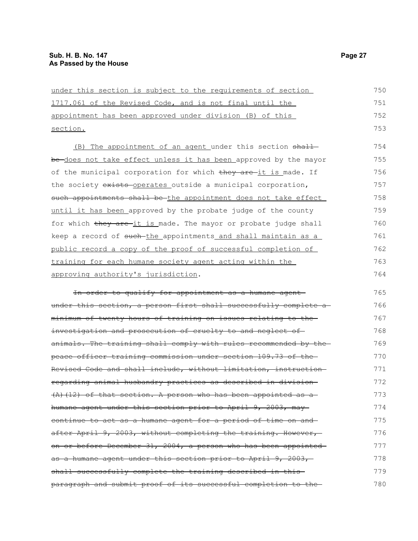| under this section is subject to the requirements of section     | 750 |
|------------------------------------------------------------------|-----|
| 1717.061 of the Revised Code, and is not final until the         | 751 |
| appointment has been approved under division (B) of this         | 752 |
| section.                                                         | 753 |
| (B) The appointment of an agent under this section shall         | 754 |
| be-does not take effect unless it has been approved by the mayor | 755 |
| of the municipal corporation for which they are-it is made. If   | 756 |
| the society exists-operates outside a municipal corporation,     | 757 |
| such appointments shall be-the appointment does not take effect  | 758 |
| until it has been approved by the probate judge of the county    | 759 |
| for which they are it is made. The mayor or probate judge shall  | 760 |
| keep a record of such-the appointments and shall maintain as a   | 761 |
| public record a copy of the proof of successful completion of    | 762 |
| training for each humane society agent acting within the         | 763 |
| approving authority's jurisdiction.                              | 764 |
| In order to qualify for appointment as a humane agent-           | 765 |
| under this section, a person first shall successfully complete a | 766 |
| minimum of twenty hours of training on issues relating to the    | 767 |
| investigation and prosecution of cruelty to and neglect of-      | 768 |
| animals. The training shall comply with rules recommended by the | 769 |
| peace officer training commission under section 109.73 of the    | 770 |
| Revised Code and shall include, without limitation, instruction  | 771 |
| regarding animal husbandry practices as described in division-   | 772 |
| $(A)$ (12) of that section. A person who has been appointed as a | 773 |
| humane agent under this section prior to April 9, 2003, may-     | 774 |
| continue to act as a humane agent for a period of time on and-   | 775 |
| after April 9, 2003, without completing the training. However,-  | 776 |
| on or before December 31, 2004, a person who has been appointed  | 777 |
| as a humane agent under this section prior to April 9, 2003,     | 778 |
| shall successfully complete the training described in this-      | 779 |
| paragraph and submit proof of its successful completion to the-  | 780 |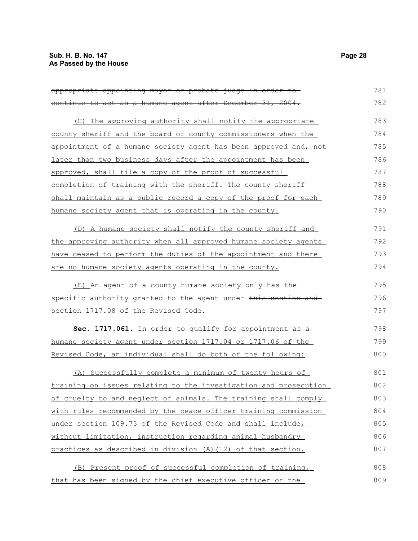appropriate appointing mayor or probate judge in order to continue to act as a humane agent after December 31, 2004. (C) The approving authority shall notify the appropriate county sheriff and the board of county commissioners when the appointment of a humane society agent has been approved and, not later than two business days after the appointment has been approved, shall file a copy of the proof of successful completion of training with the sheriff. The county sheriff shall maintain as a public record a copy of the proof for each humane society agent that is operating in the county. (D) A humane society shall notify the county sheriff and the approving authority when all approved humane society agents have ceased to perform the duties of the appointment and there are no humane society agents operating in the county. (E) An agent of a county humane society only has the specific authority granted to the agent under this section and section 1717.08 of the Revised Code. **Sec. 1717.061.** In order to qualify for appointment as a humane society agent under section 1717.04 or 1717.06 of the Revised Code, an individual shall do both of the following: (A) Successfully complete a minimum of twenty hours of training on issues relating to the investigation and prosecution of cruelty to and neglect of animals. The training shall comply with rules recommended by the peace officer training commission under section 109.73 of the Revised Code and shall include, without limitation, instruction regarding animal husbandry practices as described in division (A)(12) of that section. (B) Present proof of successful completion of training, that has been signed by the chief executive officer of the 781 782 783 784 785 786 787 788 789 790 791 792 793 794 795 796 797 798 799 800 801 802 803 804 805 806 807 808 809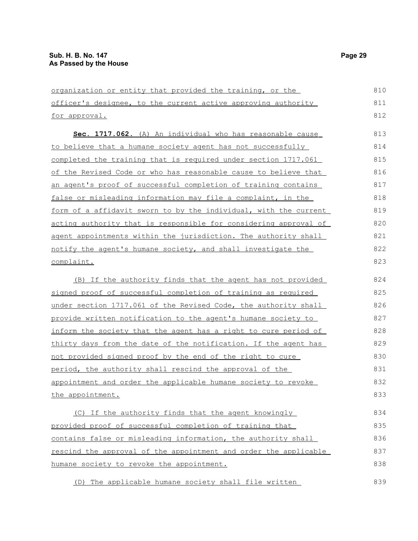organization or entity that provided the training, or the officer's designee, to the current active approving authority for approval. **Sec. 1717.062.** (A) An individual who has reasonable cause to believe that a humane society agent has not successfully completed the training that is required under section 1717.061 of the Revised Code or who has reasonable cause to believe that an agent's proof of successful completion of training contains false or misleading information may file a complaint, in the form of a affidavit sworn to by the individual, with the current acting authority that is responsible for considering approval of agent appointments within the jurisdiction. The authority shall notify the agent's humane society, and shall investigate the complaint. (B) If the authority finds that the agent has not provided signed proof of successful completion of training as required under section 1717.061 of the Revised Code, the authority shall provide written notification to the agent's humane society to inform the society that the agent has a right to cure period of thirty days from the date of the notification. If the agent has not provided signed proof by the end of the right to cure period, the authority shall rescind the approval of the appointment and order the applicable humane society to revoke the appointment. (C) If the authority finds that the agent knowingly provided proof of successful completion of training that contains false or misleading information, the authority shall rescind the approval of the appointment and order the applicable humane society to revoke the appointment. 810 811 812 813 814 815 816 817 818 819 820 821 822 823 824 825 826 827 828 829 830 831 832 833 834 835 836 837 838

(D) The applicable humane society shall file written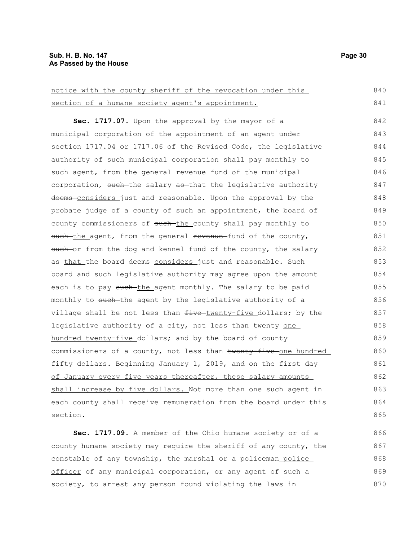| notice with the county sheriff of the revocation under this      | 840 |
|------------------------------------------------------------------|-----|
| section of a humane society agent's appointment.                 | 841 |
| Sec. 1717.07. Upon the approval by the mayor of a                | 842 |
| municipal corporation of the appointment of an agent under       | 843 |
| section 1717.04 or 1717.06 of the Revised Code, the legislative  | 844 |
| authority of such municipal corporation shall pay monthly to     | 845 |
| such agent, from the general revenue fund of the municipal       | 846 |
| corporation, such the salary as that the legislative authority   | 847 |
| deems-considers just and reasonable. Upon the approval by the    | 848 |
| probate judge of a county of such an appointment, the board of   | 849 |
| county commissioners of such the county shall pay monthly to     | 850 |
| such-the agent, from the general revenue-fund of the county,     | 851 |
| such or from the dog and kennel fund of the county, the salary   | 852 |
| as-that the board deems-considers just and reasonable. Such      | 853 |
| board and such legislative authority may agree upon the amount   | 854 |
| each is to pay such-the agent monthly. The salary to be paid     | 855 |
| monthly to such-the agent by the legislative authority of a      | 856 |
| village shall be not less than five twenty-five dollars; by the  | 857 |
| legislative authority of a city, not less than twenty one        | 858 |
| hundred twenty-five dollars; and by the board of county          | 859 |
| commissioners of a county, not less than twenty-five-one hundred | 860 |
| fifty dollars. Beginning January 1, 2019, and on the first day   | 861 |
| of January every five years thereafter, these salary amounts     | 862 |
| shall increase by five dollars. Not more than one such agent in  | 863 |
| each county shall receive remuneration from the board under this | 864 |
| section.                                                         | 865 |
| Sec. 1717.09. A member of the Ohio humane society or of a        | 866 |

**Sec. 1717.09.** A member of the Ohio humane society or of a county humane society may require the sheriff of any county, the constable of any township, the marshal or a-policeman police officer of any municipal corporation, or any agent of such a society, to arrest any person found violating the laws in 867 868 869 870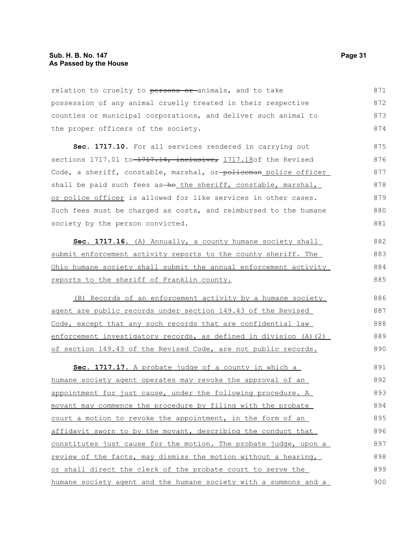relation to cruelty to persons or animals, and to take possession of any animal cruelly treated in their respective counties or municipal corporations, and deliver such animal to the proper officers of the society. 871 872 873 874

**Sec. 1717.10.** For all services rendered in carrying out sections  $1717.01$  to  $1717.14$ , inclusive,  $1717.18$ of the Revised Code, a sheriff, constable, marshal, or policeman police officer shall be paid such fees as-he the sheriff, constable, marshal, or police officer is allowed for like services in other cases. Such fees must be charged as costs, and reimbursed to the humane society by the person convicted.

 **Sec. 1717.16.** (A) Annually, a county humane society shall submit enforcement activity reports to the county sheriff. The Ohio humane society shall submit the annual enforcement activity reports to the sheriff of Franklin county.

(B) Records of an enforcement activity by a humane society agent are public records under section 149.43 of the Revised Code, except that any such records that are confidential law enforcement investigatory records, as defined in division (A)(2) of section 149.43 of the Revised Code, are not public records. 886 887 888 889 890

 **Sec. 1717.17.** A probate judge of a county in which a humane society agent operates may revoke the approval of an appointment for just cause, under the following procedure. A movant may commence the procedure by filing with the probate court a motion to revoke the appointment, in the form of an affidavit sworn to by the movant, describing the conduct that constitutes just cause for the motion. The probate judge, upon a review of the facts, may dismiss the motion without a hearing, or shall direct the clerk of the probate court to serve the humane society agent and the humane society with a summons and a 891 892 893 894 895 896 897 898 899 900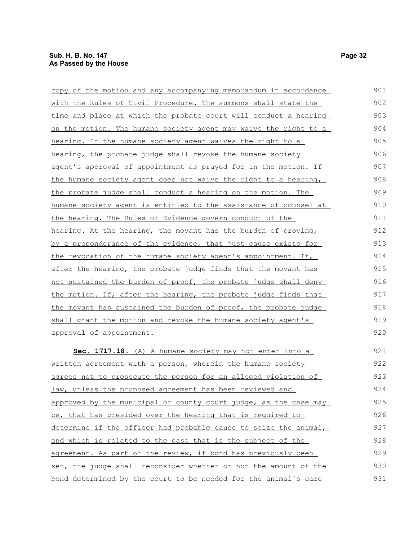| copy of the motion and any accompanying memorandum in accordance       | 901 |
|------------------------------------------------------------------------|-----|
| with the Rules of Civil Procedure. The summons shall state the         | 902 |
| time and place at which the probate court will conduct a hearing       | 903 |
| on the motion. The humane society agent may waive the right to a       | 904 |
| hearing. If the humane society agent waives the right to a             | 905 |
| hearing, the probate judge shall revoke the humane society             | 906 |
| <u>agent's approval of appointment as prayed for in the motion. If</u> | 907 |
| the humane society agent does not waive the right to a hearing,        | 908 |
| the probate judge shall conduct a hearing on the motion. The           | 909 |
| humane society agent is entitled to the assistance of counsel at       | 910 |
| the hearing. The Rules of Evidence govern conduct of the               | 911 |
| hearing. At the hearing, the movant has the burden of proving,         | 912 |
| by a preponderance of the evidence, that just cause exists for         | 913 |
| the revocation of the humane society agent's appointment. If,          | 914 |
| after the hearing, the probate judge finds that the movant has         | 915 |
| not sustained the burden of proof, the probate judge shall deny        | 916 |
| the motion. If, after the hearing, the probate judge finds that        | 917 |
| the movant has sustained the burden of proof, the probate judge        | 918 |
| shall grant the motion and revoke the humane society agent's           | 919 |
| approval of appointment.                                               | 920 |
| Sec. 1717.18. (A) A humane society may not enter into a                | 921 |
| written agreement with a person, wherein the humane society            | 922 |
| agrees not to prosecute the person for an alleged violation of         | 923 |
| law, unless the proposed agreement has been reviewed and               | 924 |
| approved by the municipal or county court judge, as the case may       | 925 |
| be, that has presided over the hearing that is required to             | 926 |
| determine if the officer had probable cause to seize the animal,       | 927 |
| and which is related to the case that is the subject of the            | 928 |
| agreement. As part of the review, if bond has previously been          | 929 |
| set, the judge shall reconsider whether or not the amount of the       | 930 |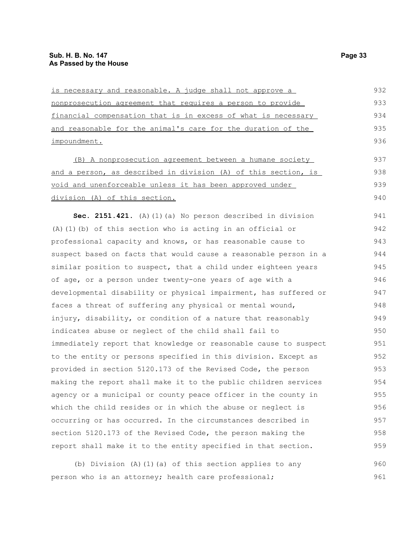| is necessary and reasonable. A judge shall not approve a         | 932 |
|------------------------------------------------------------------|-----|
| nonprosecution agreement that requires a person to provide       | 933 |
| financial compensation that is in excess of what is necessary    | 934 |
| and reasonable for the animal's care for the duration of the     | 935 |
| impoundment.                                                     | 936 |
| (B) A nonprosecution agreement between a humane society          | 937 |
| and a person, as described in division (A) of this section, is   | 938 |
| void and unenforceable unless it has been approved under         | 939 |
| division (A) of this section.                                    | 940 |
| Sec. 2151.421. (A) (1) (a) No person described in division       | 941 |
| (A) (1) (b) of this section who is acting in an official or      | 942 |
| professional capacity and knows, or has reasonable cause to      | 943 |
| suspect based on facts that would cause a reasonable person in a | 944 |
| similar position to suspect, that a child under eighteen years   | 945 |
| of age, or a person under twenty-one years of age with a         | 946 |
| developmental disability or physical impairment, has suffered or | 947 |
| faces a threat of suffering any physical or mental wound,        | 948 |
| injury, disability, or condition of a nature that reasonably     | 949 |
| indicates abuse or neglect of the child shall fail to            | 950 |
| immediately report that knowledge or reasonable cause to suspect | 951 |
| to the entity or persons specified in this division. Except as   | 952 |
| provided in section 5120.173 of the Revised Code, the person     | 953 |
| making the report shall make it to the public children services  | 954 |
| agency or a municipal or county peace officer in the county in   | 955 |
| which the child resides or in which the abuse or neglect is      | 956 |
| occurring or has occurred. In the circumstances described in     | 957 |
| section 5120.173 of the Revised Code, the person making the      | 958 |
| report shall make it to the entity specified in that section.    | 959 |
| (b) Division (A) (1) (a) of this section applies to any          | 960 |
| person who is an attorney; health care professional;             | 961 |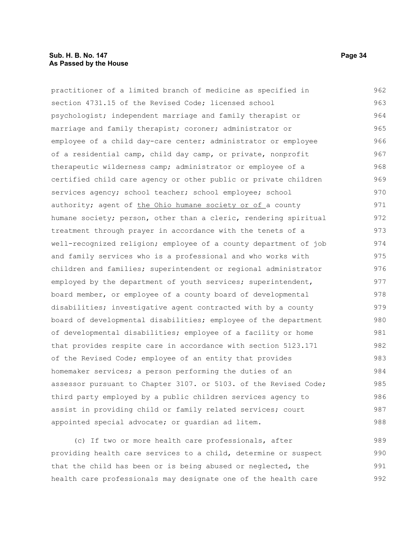## **Sub. H. B. No. 147 Page 34 As Passed by the House**

practitioner of a limited branch of medicine as specified in section 4731.15 of the Revised Code; licensed school psychologist; independent marriage and family therapist or marriage and family therapist; coroner; administrator or employee of a child day-care center; administrator or employee of a residential camp, child day camp, or private, nonprofit therapeutic wilderness camp; administrator or employee of a certified child care agency or other public or private children services agency; school teacher; school employee; school authority; agent of the Ohio humane society or of a county humane society; person, other than a cleric, rendering spiritual treatment through prayer in accordance with the tenets of a well-recognized religion; employee of a county department of job and family services who is a professional and who works with children and families; superintendent or regional administrator employed by the department of youth services; superintendent, board member, or employee of a county board of developmental disabilities; investigative agent contracted with by a county board of developmental disabilities; employee of the department of developmental disabilities; employee of a facility or home that provides respite care in accordance with section 5123.171 of the Revised Code; employee of an entity that provides homemaker services; a person performing the duties of an assessor pursuant to Chapter 3107. or 5103. of the Revised Code; third party employed by a public children services agency to assist in providing child or family related services; court appointed special advocate; or guardian ad litem. 962 963 964 965 966 967 968 969 970 971 972 973 974 975 976 977 978 979 980 981 982 983 984 985 986 987 988

(c) If two or more health care professionals, after providing health care services to a child, determine or suspect that the child has been or is being abused or neglected, the health care professionals may designate one of the health care 989 990 991 992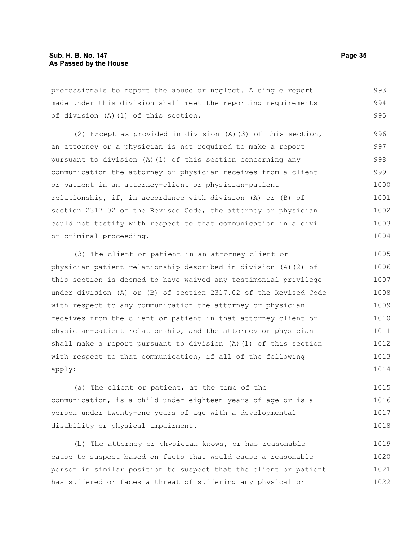professionals to report the abuse or neglect. A single report made under this division shall meet the reporting requirements of division (A)(1) of this section. 993 994 995

(2) Except as provided in division (A)(3) of this section, an attorney or a physician is not required to make a report pursuant to division (A)(1) of this section concerning any communication the attorney or physician receives from a client or patient in an attorney-client or physician-patient relationship, if, in accordance with division (A) or (B) of section 2317.02 of the Revised Code, the attorney or physician could not testify with respect to that communication in a civil or criminal proceeding. 996 997 998 999 1000 1001 1002 1003 1004

(3) The client or patient in an attorney-client or physician-patient relationship described in division (A)(2) of this section is deemed to have waived any testimonial privilege under division (A) or (B) of section 2317.02 of the Revised Code with respect to any communication the attorney or physician receives from the client or patient in that attorney-client or physician-patient relationship, and the attorney or physician shall make a report pursuant to division (A)(1) of this section with respect to that communication, if all of the following apply: 1005 1006 1007 1008 1009 1010 1011 1012 1013 1014

(a) The client or patient, at the time of the communication, is a child under eighteen years of age or is a person under twenty-one years of age with a developmental disability or physical impairment. 1015 1016 1017 1018

(b) The attorney or physician knows, or has reasonable cause to suspect based on facts that would cause a reasonable person in similar position to suspect that the client or patient has suffered or faces a threat of suffering any physical or 1019 1020 1021 1022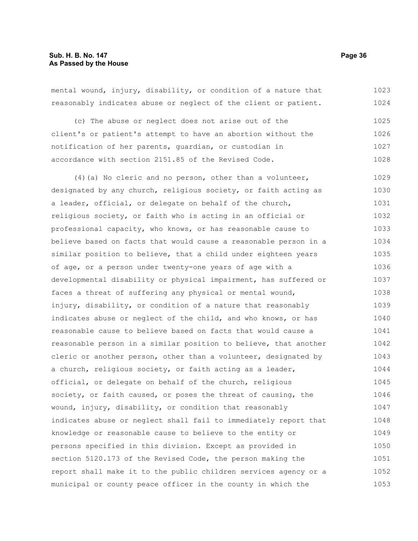mental wound, injury, disability, or condition of a nature that reasonably indicates abuse or neglect of the client or patient. 1023 1024

(c) The abuse or neglect does not arise out of the client's or patient's attempt to have an abortion without the notification of her parents, guardian, or custodian in accordance with section 2151.85 of the Revised Code. 1025 1026 1027 1028

(4)(a) No cleric and no person, other than a volunteer, designated by any church, religious society, or faith acting as a leader, official, or delegate on behalf of the church, religious society, or faith who is acting in an official or professional capacity, who knows, or has reasonable cause to believe based on facts that would cause a reasonable person in a similar position to believe, that a child under eighteen years of age, or a person under twenty-one years of age with a developmental disability or physical impairment, has suffered or faces a threat of suffering any physical or mental wound, injury, disability, or condition of a nature that reasonably indicates abuse or neglect of the child, and who knows, or has reasonable cause to believe based on facts that would cause a reasonable person in a similar position to believe, that another cleric or another person, other than a volunteer, designated by a church, religious society, or faith acting as a leader, official, or delegate on behalf of the church, religious society, or faith caused, or poses the threat of causing, the wound, injury, disability, or condition that reasonably indicates abuse or neglect shall fail to immediately report that knowledge or reasonable cause to believe to the entity or persons specified in this division. Except as provided in section 5120.173 of the Revised Code, the person making the report shall make it to the public children services agency or a municipal or county peace officer in the county in which the 1029 1030 1031 1032 1033 1034 1035 1036 1037 1038 1039 1040 1041 1042 1043 1044 1045 1046 1047 1048 1049 1050 1051 1052 1053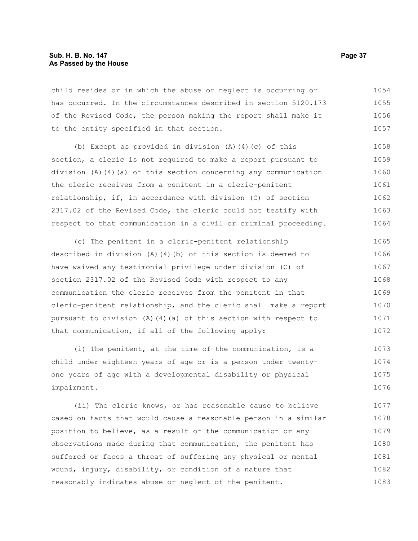child resides or in which the abuse or neglect is occurring or has occurred. In the circumstances described in section 5120.173 of the Revised Code, the person making the report shall make it to the entity specified in that section. 1054 1055 1056 1057

(b) Except as provided in division (A)(4)(c) of this section, a cleric is not required to make a report pursuant to division (A)(4)(a) of this section concerning any communication the cleric receives from a penitent in a cleric-penitent relationship, if, in accordance with division (C) of section 2317.02 of the Revised Code, the cleric could not testify with respect to that communication in a civil or criminal proceeding. 1058 1059 1060 1061 1062 1063 1064

(c) The penitent in a cleric-penitent relationship described in division (A)(4)(b) of this section is deemed to have waived any testimonial privilege under division (C) of section 2317.02 of the Revised Code with respect to any communication the cleric receives from the penitent in that cleric-penitent relationship, and the cleric shall make a report pursuant to division (A)(4)(a) of this section with respect to that communication, if all of the following apply: 1065 1066 1067 1068 1069 1070 1071 1072

(i) The penitent, at the time of the communication, is a child under eighteen years of age or is a person under twentyone years of age with a developmental disability or physical impairment. 1073 1074 1075 1076

(ii) The cleric knows, or has reasonable cause to believe based on facts that would cause a reasonable person in a similar position to believe, as a result of the communication or any observations made during that communication, the penitent has suffered or faces a threat of suffering any physical or mental wound, injury, disability, or condition of a nature that reasonably indicates abuse or neglect of the penitent. 1077 1078 1079 1080 1081 1082 1083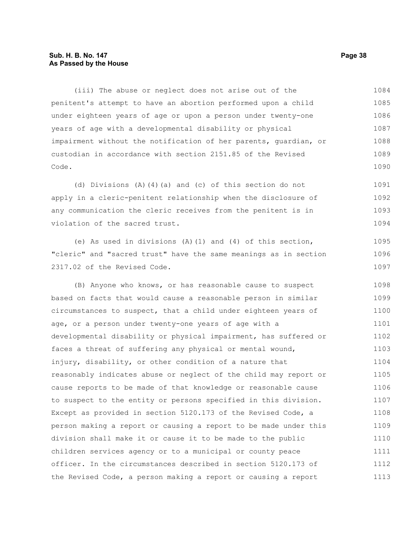## **Sub. H. B. No. 147 Page 38 As Passed by the House**

(iii) The abuse or neglect does not arise out of the penitent's attempt to have an abortion performed upon a child under eighteen years of age or upon a person under twenty-one years of age with a developmental disability or physical impairment without the notification of her parents, guardian, or custodian in accordance with section 2151.85 of the Revised Code. 1084 1085 1086 1087 1088 1089 1090

(d) Divisions (A)(4)(a) and (c) of this section do not apply in a cleric-penitent relationship when the disclosure of any communication the cleric receives from the penitent is in violation of the sacred trust. 1091 1092 1093 1094

(e) As used in divisions (A)(1) and (4) of this section, "cleric" and "sacred trust" have the same meanings as in section 2317.02 of the Revised Code. 1095 1096 1097

(B) Anyone who knows, or has reasonable cause to suspect based on facts that would cause a reasonable person in similar circumstances to suspect, that a child under eighteen years of age, or a person under twenty-one years of age with a developmental disability or physical impairment, has suffered or faces a threat of suffering any physical or mental wound, injury, disability, or other condition of a nature that reasonably indicates abuse or neglect of the child may report or cause reports to be made of that knowledge or reasonable cause to suspect to the entity or persons specified in this division. Except as provided in section 5120.173 of the Revised Code, a person making a report or causing a report to be made under this division shall make it or cause it to be made to the public children services agency or to a municipal or county peace officer. In the circumstances described in section 5120.173 of the Revised Code, a person making a report or causing a report 1098 1099 1100 1101 1102 1103 1104 1105 1106 1107 1108 1109 1110 1111 1112 1113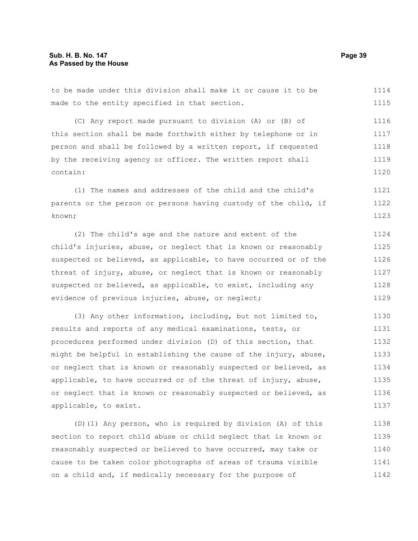to be made under this division shall make it or cause it to be made to the entity specified in that section. 1114 1115

(C) Any report made pursuant to division (A) or (B) of this section shall be made forthwith either by telephone or in person and shall be followed by a written report, if requested by the receiving agency or officer. The written report shall contain: 1116 1117 1118 1119 1120

(1) The names and addresses of the child and the child's parents or the person or persons having custody of the child, if known; 1121 1122 1123

(2) The child's age and the nature and extent of the child's injuries, abuse, or neglect that is known or reasonably suspected or believed, as applicable, to have occurred or of the threat of injury, abuse, or neglect that is known or reasonably suspected or believed, as applicable, to exist, including any evidence of previous injuries, abuse, or neglect; 1124 1125 1126 1127 1128 1129

(3) Any other information, including, but not limited to, results and reports of any medical examinations, tests, or procedures performed under division (D) of this section, that might be helpful in establishing the cause of the injury, abuse, or neglect that is known or reasonably suspected or believed, as applicable, to have occurred or of the threat of injury, abuse, or neglect that is known or reasonably suspected or believed, as applicable, to exist. 1130 1131 1132 1133 1134 1135 1136 1137

(D)(1) Any person, who is required by division (A) of this section to report child abuse or child neglect that is known or reasonably suspected or believed to have occurred, may take or cause to be taken color photographs of areas of trauma visible on a child and, if medically necessary for the purpose of 1138 1139 1140 1141 1142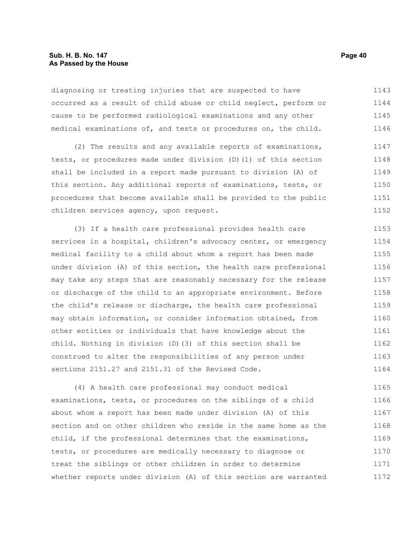## **Sub. H. B. No. 147 Page 40 As Passed by the House**

diagnosing or treating injuries that are suspected to have occurred as a result of child abuse or child neglect, perform or cause to be performed radiological examinations and any other medical examinations of, and tests or procedures on, the child. 1143 1144 1145 1146

(2) The results and any available reports of examinations, tests, or procedures made under division (D)(1) of this section shall be included in a report made pursuant to division (A) of this section. Any additional reports of examinations, tests, or procedures that become available shall be provided to the public children services agency, upon request. 1147 1148 1149 1150 1151 1152

(3) If a health care professional provides health care services in a hospital, children's advocacy center, or emergency medical facility to a child about whom a report has been made under division (A) of this section, the health care professional may take any steps that are reasonably necessary for the release or discharge of the child to an appropriate environment. Before the child's release or discharge, the health care professional may obtain information, or consider information obtained, from other entities or individuals that have knowledge about the child. Nothing in division (D)(3) of this section shall be construed to alter the responsibilities of any person under sections 2151.27 and 2151.31 of the Revised Code. 1153 1154 1155 1156 1157 1158 1159 1160 1161 1162 1163 1164

(4) A health care professional may conduct medical examinations, tests, or procedures on the siblings of a child about whom a report has been made under division (A) of this section and on other children who reside in the same home as the child, if the professional determines that the examinations, tests, or procedures are medically necessary to diagnose or treat the siblings or other children in order to determine whether reports under division (A) of this section are warranted 1165 1166 1167 1168 1169 1170 1171 1172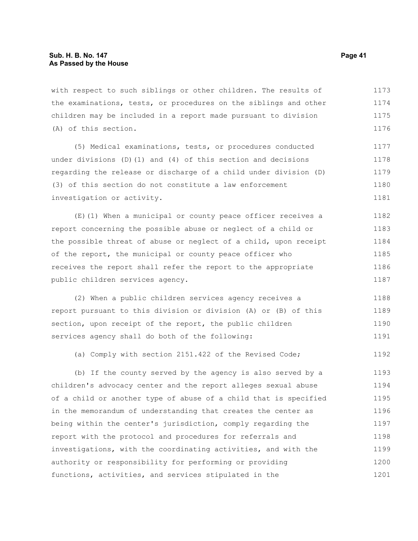with respect to such siblings or other children. The results of the examinations, tests, or procedures on the siblings and other children may be included in a report made pursuant to division (A) of this section. 1173 1174 1175 1176

(5) Medical examinations, tests, or procedures conducted under divisions (D)(1) and (4) of this section and decisions regarding the release or discharge of a child under division (D) (3) of this section do not constitute a law enforcement investigation or activity. 1177 1178 1179 1180 1181

(E)(1) When a municipal or county peace officer receives a report concerning the possible abuse or neglect of a child or the possible threat of abuse or neglect of a child, upon receipt of the report, the municipal or county peace officer who receives the report shall refer the report to the appropriate public children services agency. 1182 1183 1184 1185 1186 1187

(2) When a public children services agency receives a report pursuant to this division or division (A) or (B) of this section, upon receipt of the report, the public children services agency shall do both of the following: 1188 1189 1190 1191

(a) Comply with section 2151.422 of the Revised Code; 1192

(b) If the county served by the agency is also served by a children's advocacy center and the report alleges sexual abuse of a child or another type of abuse of a child that is specified in the memorandum of understanding that creates the center as being within the center's jurisdiction, comply regarding the report with the protocol and procedures for referrals and investigations, with the coordinating activities, and with the authority or responsibility for performing or providing functions, activities, and services stipulated in the 1193 1194 1195 1196 1197 1198 1199 1200 1201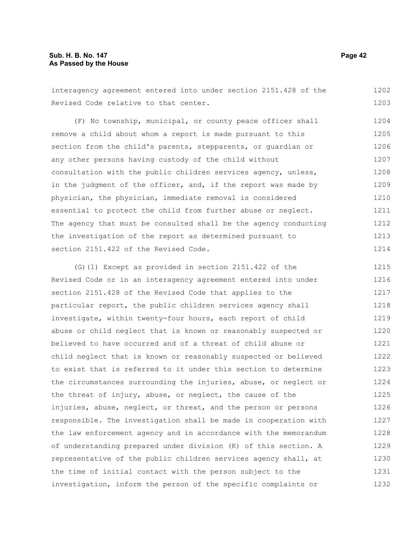interagency agreement entered into under section 2151.428 of the Revised Code relative to that center. 1202 1203

(F) No township, municipal, or county peace officer shall remove a child about whom a report is made pursuant to this section from the child's parents, stepparents, or guardian or any other persons having custody of the child without consultation with the public children services agency, unless, in the judgment of the officer, and, if the report was made by physician, the physician, immediate removal is considered essential to protect the child from further abuse or neglect. The agency that must be consulted shall be the agency conducting the investigation of the report as determined pursuant to section 2151.422 of the Revised Code. 1204 1205 1206 1207 1208 1209 1210 1211 1212 1213 1214

(G)(1) Except as provided in section 2151.422 of the Revised Code or in an interagency agreement entered into under section 2151.428 of the Revised Code that applies to the particular report, the public children services agency shall investigate, within twenty-four hours, each report of child abuse or child neglect that is known or reasonably suspected or believed to have occurred and of a threat of child abuse or child neglect that is known or reasonably suspected or believed to exist that is referred to it under this section to determine the circumstances surrounding the injuries, abuse, or neglect or the threat of injury, abuse, or neglect, the cause of the injuries, abuse, neglect, or threat, and the person or persons responsible. The investigation shall be made in cooperation with the law enforcement agency and in accordance with the memorandum of understanding prepared under division (K) of this section. A representative of the public children services agency shall, at the time of initial contact with the person subject to the investigation, inform the person of the specific complaints or 1215 1216 1217 1218 1219 1220 1221 1222 1223 1224 1225 1226 1227 1228 1229 1230 1231 1232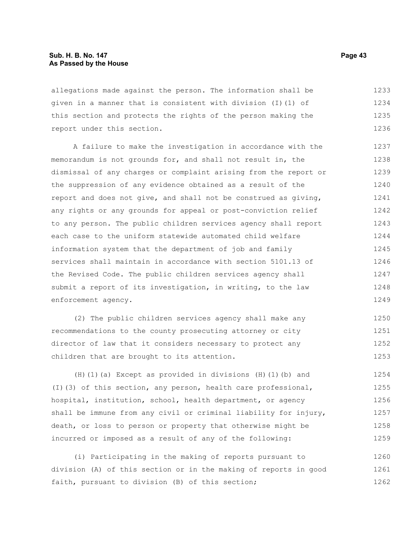allegations made against the person. The information shall be given in a manner that is consistent with division (I)(1) of this section and protects the rights of the person making the report under this section. 1233 1234 1235 1236

A failure to make the investigation in accordance with the memorandum is not grounds for, and shall not result in, the dismissal of any charges or complaint arising from the report or the suppression of any evidence obtained as a result of the report and does not give, and shall not be construed as giving, any rights or any grounds for appeal or post-conviction relief to any person. The public children services agency shall report each case to the uniform statewide automated child welfare information system that the department of job and family services shall maintain in accordance with section 5101.13 of the Revised Code. The public children services agency shall submit a report of its investigation, in writing, to the law enforcement agency. 1237 1238 1239 1240 1241 1242 1243 1244 1245 1246 1247 1248 1249

(2) The public children services agency shall make any recommendations to the county prosecuting attorney or city director of law that it considers necessary to protect any children that are brought to its attention. 1250 1251 1252 1253

(H)(1)(a) Except as provided in divisions (H)(1)(b) and (I)(3) of this section, any person, health care professional, hospital, institution, school, health department, or agency shall be immune from any civil or criminal liability for injury, death, or loss to person or property that otherwise might be incurred or imposed as a result of any of the following: 1254 1255 1256 1257 1258 1259

(i) Participating in the making of reports pursuant to division (A) of this section or in the making of reports in good faith, pursuant to division (B) of this section; 1260 1261 1262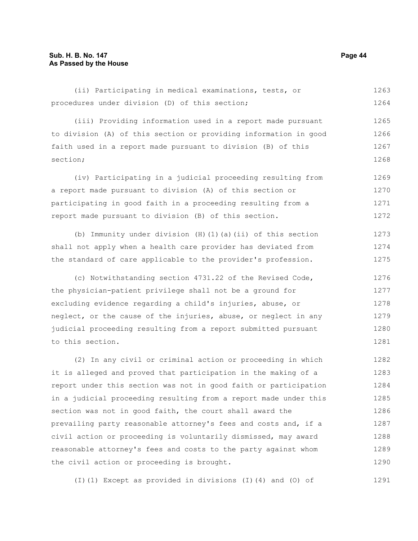1289 1290

| (ii) Participating in medical examinations, tests, or            | 1263 |
|------------------------------------------------------------------|------|
| procedures under division (D) of this section;                   | 1264 |
|                                                                  | 1265 |
| (iii) Providing information used in a report made pursuant       |      |
| to division (A) of this section or providing information in good | 1266 |
| faith used in a report made pursuant to division (B) of this     | 1267 |
| section;                                                         | 1268 |
| (iv) Participating in a judicial proceeding resulting from       | 1269 |
| a report made pursuant to division (A) of this section or        | 1270 |
| participating in good faith in a proceeding resulting from a     | 1271 |
| report made pursuant to division (B) of this section.            | 1272 |
| (b) Immunity under division $(H)$ (1) (a) (ii) of this section   | 1273 |
| shall not apply when a health care provider has deviated from    | 1274 |
| the standard of care applicable to the provider's profession.    | 1275 |
| (c) Notwithstanding section 4731.22 of the Revised Code,         | 1276 |
| the physician-patient privilege shall not be a ground for        | 1277 |
| excluding evidence regarding a child's injuries, abuse, or       | 1278 |
| neglect, or the cause of the injuries, abuse, or neglect in any  | 1279 |
| judicial proceeding resulting from a report submitted pursuant   | 1280 |
| to this section.                                                 | 1281 |
| (2) In any civil or criminal action or proceeding in which       | 1282 |
| it is alleged and proved that participation in the making of a   | 1283 |
| report under this section was not in good faith or participation | 1284 |
| in a judicial proceeding resulting from a report made under this | 1285 |
| section was not in good faith, the court shall award the         | 1286 |
| prevailing party reasonable attorney's fees and costs and, if a  | 1287 |
| civil action or proceeding is voluntarily dismissed, may award   | 1288 |
| reasonable attorney's fees and costs to the party against whom   | 1289 |

(I)(1) Except as provided in divisions (I)(4) and (O) of 1291

the civil action or proceeding is brought.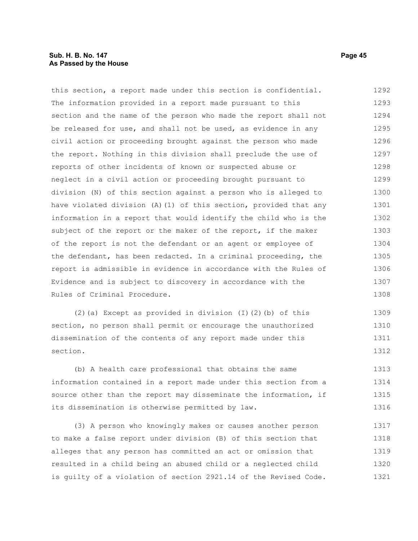## **Sub. H. B. No. 147 Page 45 As Passed by the House**

this section, a report made under this section is confidential. The information provided in a report made pursuant to this section and the name of the person who made the report shall not be released for use, and shall not be used, as evidence in any civil action or proceeding brought against the person who made the report. Nothing in this division shall preclude the use of reports of other incidents of known or suspected abuse or neglect in a civil action or proceeding brought pursuant to division (N) of this section against a person who is alleged to have violated division (A)(1) of this section, provided that any information in a report that would identify the child who is the subject of the report or the maker of the report, if the maker of the report is not the defendant or an agent or employee of the defendant, has been redacted. In a criminal proceeding, the report is admissible in evidence in accordance with the Rules of Evidence and is subject to discovery in accordance with the Rules of Criminal Procedure. 1292 1293 1294 1295 1296 1297 1298 1299 1300 1301 1302 1303 1304 1305 1306 1307 1308

(2)(a) Except as provided in division (I)(2)(b) of this section, no person shall permit or encourage the unauthorized dissemination of the contents of any report made under this section. 1309 1310 1311 1312

(b) A health care professional that obtains the same information contained in a report made under this section from a source other than the report may disseminate the information, if its dissemination is otherwise permitted by law. 1313 1314 1315 1316

(3) A person who knowingly makes or causes another person to make a false report under division (B) of this section that alleges that any person has committed an act or omission that resulted in a child being an abused child or a neglected child is guilty of a violation of section 2921.14 of the Revised Code. 1317 1318 1319 1320 1321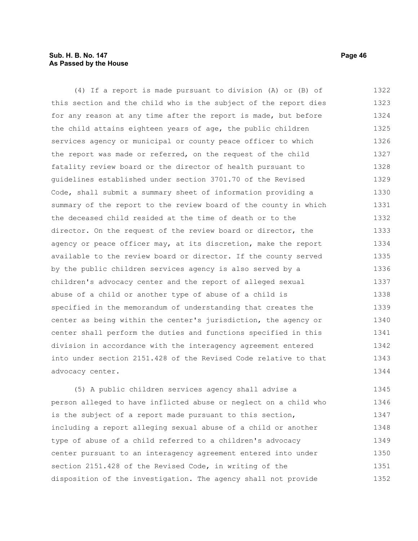## **Sub. H. B. No. 147 Page 46 As Passed by the House**

(4) If a report is made pursuant to division (A) or (B) of this section and the child who is the subject of the report dies for any reason at any time after the report is made, but before the child attains eighteen years of age, the public children services agency or municipal or county peace officer to which the report was made or referred, on the request of the child fatality review board or the director of health pursuant to guidelines established under section 3701.70 of the Revised Code, shall submit a summary sheet of information providing a summary of the report to the review board of the county in which the deceased child resided at the time of death or to the director. On the request of the review board or director, the agency or peace officer may, at its discretion, make the report available to the review board or director. If the county served by the public children services agency is also served by a children's advocacy center and the report of alleged sexual abuse of a child or another type of abuse of a child is specified in the memorandum of understanding that creates the center as being within the center's jurisdiction, the agency or center shall perform the duties and functions specified in this division in accordance with the interagency agreement entered into under section 2151.428 of the Revised Code relative to that advocacy center. 1322 1323 1324 1325 1326 1327 1328 1329 1330 1331 1332 1333 1334 1335 1336 1337 1338 1339 1340 1341 1342 1343 1344

(5) A public children services agency shall advise a person alleged to have inflicted abuse or neglect on a child who is the subject of a report made pursuant to this section, including a report alleging sexual abuse of a child or another type of abuse of a child referred to a children's advocacy center pursuant to an interagency agreement entered into under section 2151.428 of the Revised Code, in writing of the disposition of the investigation. The agency shall not provide 1345 1346 1347 1348 1349 1350 1351 1352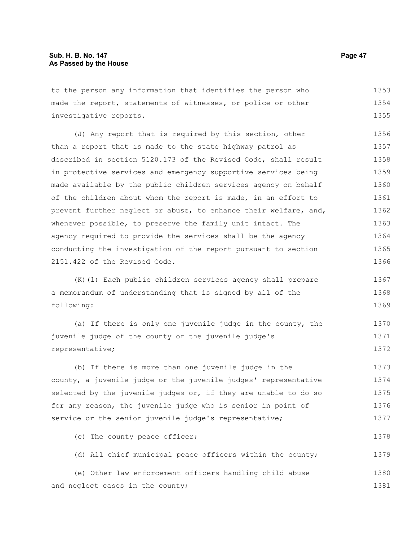to the person any information that identifies the person who made the report, statements of witnesses, or police or other investigative reports. 1353 1354 1355

(J) Any report that is required by this section, other than a report that is made to the state highway patrol as described in section 5120.173 of the Revised Code, shall result in protective services and emergency supportive services being made available by the public children services agency on behalf of the children about whom the report is made, in an effort to prevent further neglect or abuse, to enhance their welfare, and, whenever possible, to preserve the family unit intact. The agency required to provide the services shall be the agency conducting the investigation of the report pursuant to section 2151.422 of the Revised Code. 1356 1357 1358 1359 1360 1361 1362 1363 1364 1365 1366

(K)(1) Each public children services agency shall prepare a memorandum of understanding that is signed by all of the following: 1367 1368 1369

(a) If there is only one juvenile judge in the county, the juvenile judge of the county or the juvenile judge's representative; 1370 1371 1372

(b) If there is more than one juvenile judge in the county, a juvenile judge or the juvenile judges' representative selected by the juvenile judges or, if they are unable to do so for any reason, the juvenile judge who is senior in point of service or the senior juvenile judge's representative; 1373 1374 1375 1376 1377

(c) The county peace officer; 1378

(d) All chief municipal peace officers within the county; 1379

(e) Other law enforcement officers handling child abuse and neglect cases in the county; 1380 1381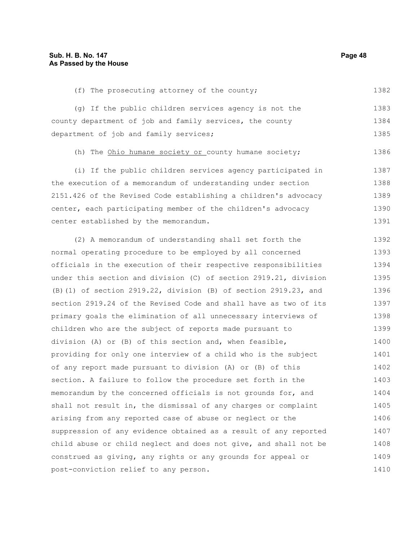(f) The prosecuting attorney of the county; 1382

(g) If the public children services agency is not the county department of job and family services, the county department of job and family services; 1383 1384 1385

(h) The Ohio humane society or county humane society; 1386

(i) If the public children services agency participated in the execution of a memorandum of understanding under section 2151.426 of the Revised Code establishing a children's advocacy center, each participating member of the children's advocacy center established by the memorandum. 1387 1388 1389 1390 1391

(2) A memorandum of understanding shall set forth the normal operating procedure to be employed by all concerned officials in the execution of their respective responsibilities under this section and division (C) of section 2919.21, division (B)(1) of section 2919.22, division (B) of section 2919.23, and section 2919.24 of the Revised Code and shall have as two of its primary goals the elimination of all unnecessary interviews of children who are the subject of reports made pursuant to division (A) or (B) of this section and, when feasible, providing for only one interview of a child who is the subject of any report made pursuant to division (A) or (B) of this section. A failure to follow the procedure set forth in the memorandum by the concerned officials is not grounds for, and shall not result in, the dismissal of any charges or complaint arising from any reported case of abuse or neglect or the suppression of any evidence obtained as a result of any reported child abuse or child neglect and does not give, and shall not be construed as giving, any rights or any grounds for appeal or post-conviction relief to any person. 1392 1393 1394 1395 1396 1397 1398 1399 1400 1401 1402 1403 1404 1405 1406 1407 1408 1409 1410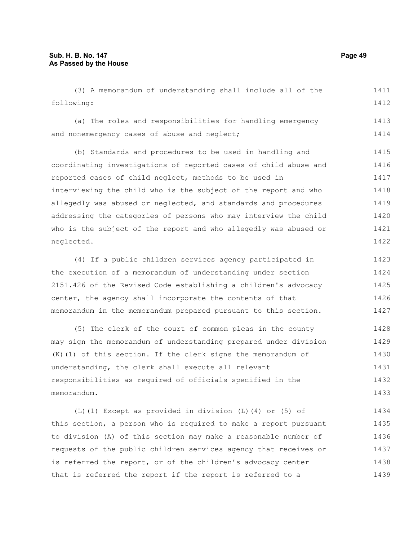neglected.

(3) A memorandum of understanding shall include all of the following: (a) The roles and responsibilities for handling emergency and nonemergency cases of abuse and neglect; (b) Standards and procedures to be used in handling and coordinating investigations of reported cases of child abuse and reported cases of child neglect, methods to be used in interviewing the child who is the subject of the report and who allegedly was abused or neglected, and standards and procedures addressing the categories of persons who may interview the child who is the subject of the report and who allegedly was abused or 1411 1412 1413 1414 1415 1416 1417 1418 1419 1420 1421

(4) If a public children services agency participated in the execution of a memorandum of understanding under section 2151.426 of the Revised Code establishing a children's advocacy center, the agency shall incorporate the contents of that memorandum in the memorandum prepared pursuant to this section. 1423 1424 1425 1426 1427

(5) The clerk of the court of common pleas in the county may sign the memorandum of understanding prepared under division (K)(1) of this section. If the clerk signs the memorandum of understanding, the clerk shall execute all relevant responsibilities as required of officials specified in the memorandum. 1428 1429 1430 1431 1432 1433

(L)(1) Except as provided in division (L)(4) or (5) of this section, a person who is required to make a report pursuant to division (A) of this section may make a reasonable number of requests of the public children services agency that receives or is referred the report, or of the children's advocacy center that is referred the report if the report is referred to a 1434 1435 1436 1437 1438 1439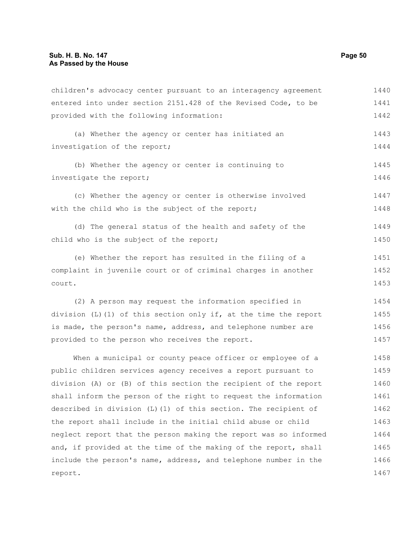report.

children's advocacy center pursuant to an interagency agreement entered into under section 2151.428 of the Revised Code, to be provided with the following information: (a) Whether the agency or center has initiated an investigation of the report; (b) Whether the agency or center is continuing to investigate the report; (c) Whether the agency or center is otherwise involved with the child who is the subject of the report; (d) The general status of the health and safety of the child who is the subject of the report; (e) Whether the report has resulted in the filing of a complaint in juvenile court or of criminal charges in another court. (2) A person may request the information specified in division (L)(1) of this section only if, at the time the report is made, the person's name, address, and telephone number are provided to the person who receives the report. When a municipal or county peace officer or employee of a public children services agency receives a report pursuant to division (A) or (B) of this section the recipient of the report shall inform the person of the right to request the information described in division (L)(1) of this section. The recipient of the report shall include in the initial child abuse or child neglect report that the person making the report was so informed and, if provided at the time of the making of the report, shall include the person's name, address, and telephone number in the 1440 1441 1442 1443 1444 1445 1446 1447 1448 1449 1450 1451 1452 1453 1454 1455 1456 1457 1458 1459 1460 1461 1462 1463 1464 1465 1466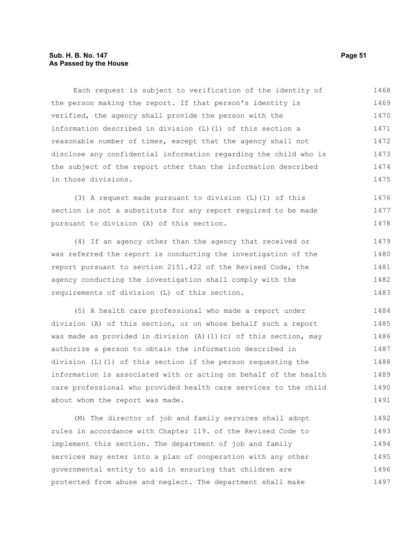## **Sub. H. B. No. 147 Page 51 As Passed by the House**

Each request is subject to verification of the identity of the person making the report. If that person's identity is verified, the agency shall provide the person with the information described in division (L)(1) of this section a reasonable number of times, except that the agency shall not disclose any confidential information regarding the child who is the subject of the report other than the information described in those divisions. 1468 1469 1470 1471 1472 1473 1474 1475

(3) A request made pursuant to division (L)(1) of this section is not a substitute for any report required to be made pursuant to division (A) of this section. 1476 1477 1478

(4) If an agency other than the agency that received or was referred the report is conducting the investigation of the report pursuant to section 2151.422 of the Revised Code, the agency conducting the investigation shall comply with the requirements of division (L) of this section. 1479 1480 1481 1482 1483

(5) A health care professional who made a report under division (A) of this section, or on whose behalf such a report was made as provided in division  $(A)$  (1)(c) of this section, may authorize a person to obtain the information described in division (L)(1) of this section if the person requesting the information is associated with or acting on behalf of the health care professional who provided health care services to the child about whom the report was made. 1484 1485 1486 1487 1488 1489 1490 1491

(M) The director of job and family services shall adopt rules in accordance with Chapter 119. of the Revised Code to implement this section. The department of job and family services may enter into a plan of cooperation with any other governmental entity to aid in ensuring that children are protected from abuse and neglect. The department shall make 1492 1493 1494 1495 1496 1497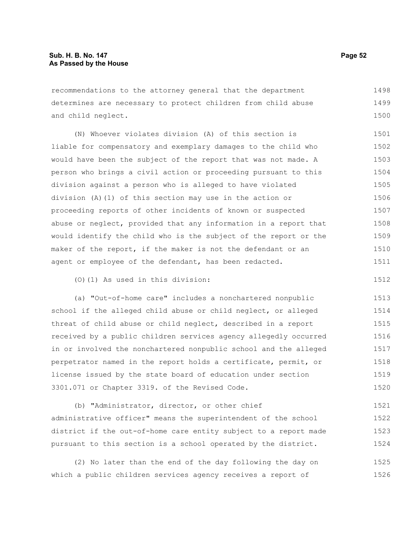recommendations to the attorney general that the department determines are necessary to protect children from child abuse and child neglect. 1498 1499 1500

(N) Whoever violates division (A) of this section is liable for compensatory and exemplary damages to the child who would have been the subject of the report that was not made. A person who brings a civil action or proceeding pursuant to this division against a person who is alleged to have violated division (A)(1) of this section may use in the action or proceeding reports of other incidents of known or suspected abuse or neglect, provided that any information in a report that would identify the child who is the subject of the report or the maker of the report, if the maker is not the defendant or an agent or employee of the defendant, has been redacted. 1501 1502 1503 1504 1505 1506 1507 1508 1509 1510 1511

(O)(1) As used in this division:

(a) "Out-of-home care" includes a nonchartered nonpublic school if the alleged child abuse or child neglect, or alleged threat of child abuse or child neglect, described in a report received by a public children services agency allegedly occurred in or involved the nonchartered nonpublic school and the alleged perpetrator named in the report holds a certificate, permit, or license issued by the state board of education under section 3301.071 or Chapter 3319. of the Revised Code. 1513 1514 1515 1516 1517 1518 1519 1520

(b) "Administrator, director, or other chief administrative officer" means the superintendent of the school district if the out-of-home care entity subject to a report made pursuant to this section is a school operated by the district. 1521 1522 1523 1524

(2) No later than the end of the day following the day on which a public children services agency receives a report of 1525 1526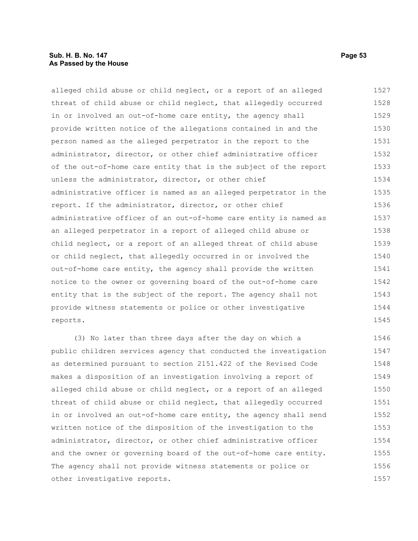## **Sub. H. B. No. 147 Page 53 As Passed by the House**

alleged child abuse or child neglect, or a report of an alleged threat of child abuse or child neglect, that allegedly occurred in or involved an out-of-home care entity, the agency shall provide written notice of the allegations contained in and the person named as the alleged perpetrator in the report to the administrator, director, or other chief administrative officer of the out-of-home care entity that is the subject of the report unless the administrator, director, or other chief administrative officer is named as an alleged perpetrator in the report. If the administrator, director, or other chief administrative officer of an out-of-home care entity is named as an alleged perpetrator in a report of alleged child abuse or child neglect, or a report of an alleged threat of child abuse or child neglect, that allegedly occurred in or involved the out-of-home care entity, the agency shall provide the written notice to the owner or governing board of the out-of-home care entity that is the subject of the report. The agency shall not provide witness statements or police or other investigative reports. 1527 1528 1529 1530 1531 1532 1533 1534 1535 1536 1537 1538 1539 1540 1541 1542 1543 1544 1545

(3) No later than three days after the day on which a public children services agency that conducted the investigation as determined pursuant to section 2151.422 of the Revised Code makes a disposition of an investigation involving a report of alleged child abuse or child neglect, or a report of an alleged threat of child abuse or child neglect, that allegedly occurred in or involved an out-of-home care entity, the agency shall send written notice of the disposition of the investigation to the administrator, director, or other chief administrative officer and the owner or governing board of the out-of-home care entity. The agency shall not provide witness statements or police or other investigative reports. 1546 1547 1548 1549 1550 1551 1552 1553 1554 1555 1556 1557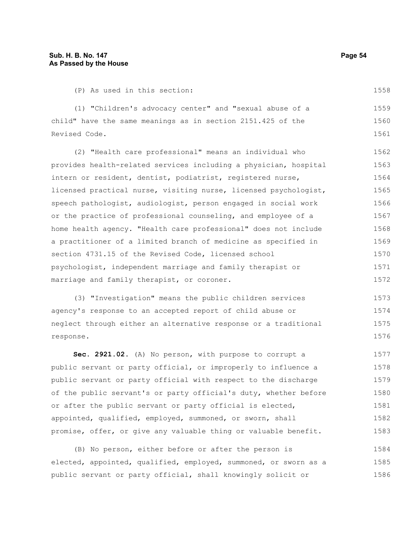(P) As used in this section:

(1) "Children's advocacy center" and "sexual abuse of a child" have the same meanings as in section 2151.425 of the Revised Code. 1559 1560 1561

(2) "Health care professional" means an individual who provides health-related services including a physician, hospital intern or resident, dentist, podiatrist, registered nurse, licensed practical nurse, visiting nurse, licensed psychologist, speech pathologist, audiologist, person engaged in social work or the practice of professional counseling, and employee of a home health agency. "Health care professional" does not include a practitioner of a limited branch of medicine as specified in section 4731.15 of the Revised Code, licensed school psychologist, independent marriage and family therapist or marriage and family therapist, or coroner. 1562 1563 1564 1565 1566 1567 1568 1569 1570 1571 1572

(3) "Investigation" means the public children services agency's response to an accepted report of child abuse or neglect through either an alternative response or a traditional response. 1573 1574 1575 1576

**Sec. 2921.02.** (A) No person, with purpose to corrupt a public servant or party official, or improperly to influence a public servant or party official with respect to the discharge of the public servant's or party official's duty, whether before or after the public servant or party official is elected, appointed, qualified, employed, summoned, or sworn, shall promise, offer, or give any valuable thing or valuable benefit. 1577 1578 1579 1580 1581 1582 1583

(B) No person, either before or after the person is elected, appointed, qualified, employed, summoned, or sworn as a public servant or party official, shall knowingly solicit or 1584 1585 1586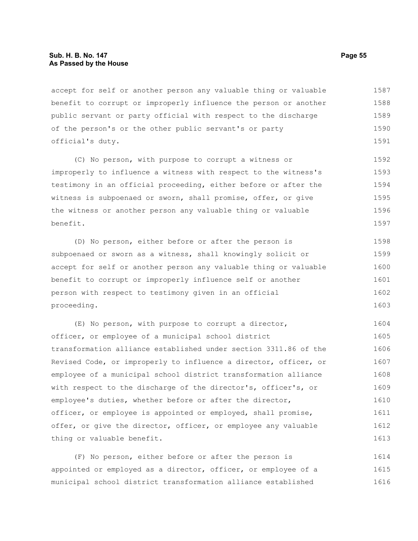accept for self or another person any valuable thing or valuable benefit to corrupt or improperly influence the person or another public servant or party official with respect to the discharge of the person's or the other public servant's or party official's duty. 1587 1588 1589 1590 1591

(C) No person, with purpose to corrupt a witness or improperly to influence a witness with respect to the witness's testimony in an official proceeding, either before or after the witness is subpoenaed or sworn, shall promise, offer, or give the witness or another person any valuable thing or valuable benefit. 1592 1593 1594 1595 1596 1597

(D) No person, either before or after the person is subpoenaed or sworn as a witness, shall knowingly solicit or accept for self or another person any valuable thing or valuable benefit to corrupt or improperly influence self or another person with respect to testimony given in an official proceeding. 1598 1599 1600 1601 1602 1603

(E) No person, with purpose to corrupt a director, officer, or employee of a municipal school district transformation alliance established under section 3311.86 of the Revised Code, or improperly to influence a director, officer, or employee of a municipal school district transformation alliance with respect to the discharge of the director's, officer's, or employee's duties, whether before or after the director, officer, or employee is appointed or employed, shall promise, offer, or give the director, officer, or employee any valuable thing or valuable benefit. 1604 1605 1606 1607 1608 1609 1610 1611 1612 1613

(F) No person, either before or after the person is appointed or employed as a director, officer, or employee of a municipal school district transformation alliance established 1614 1615 1616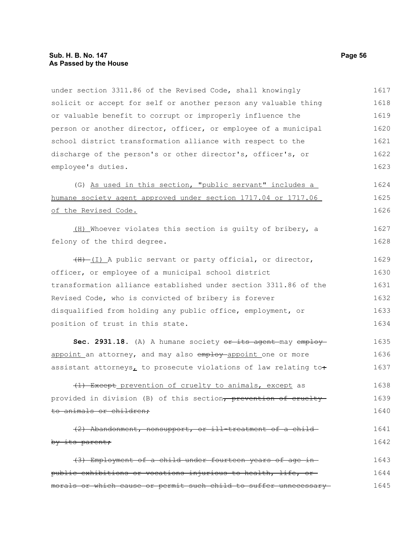under section 3311.86 of the Revised Code, shall knowingly solicit or accept for self or another person any valuable thing or valuable benefit to corrupt or improperly influence the person or another director, officer, or employee of a municipal school district transformation alliance with respect to the discharge of the person's or other director's, officer's, or employee's duties. (G) As used in this section, "public servant" includes a humane society agent approved under section 1717.04 or 1717.06 of the Revised Code. (H) Whoever violates this section is guilty of bribery, a felony of the third degree.  $(H)$  (I) A public servant or party official, or director, officer, or employee of a municipal school district transformation alliance established under section 3311.86 of the Revised Code, who is convicted of bribery is forever disqualified from holding any public office, employment, or position of trust in this state. Sec. 2931.18. (A) A humane society or its agent may employ appoint an attorney, and may also employ appoint one or more assistant attorneys, to prosecute violations of law relating to: (1) Except prevention of cruelty to animals, except as provided in division (B) of this section, prevention of cruelty to animals or children; (2) Abandonment, nonsupport, or ill-treatment of a child by its parent; (3) Employment of a child under fourteen years of age in public exhibitions or vocations injurious to health, life, or morals or which cause or permit such child to suffer unnecessary 1617 1618 1619 1620 1621 1622 1623 1624 1625 1626 1627 1628 1629 1630 1631 1632 1633 1634 1635 1636 1637 1638 1639 1640 1641 1642 1643 1644 1645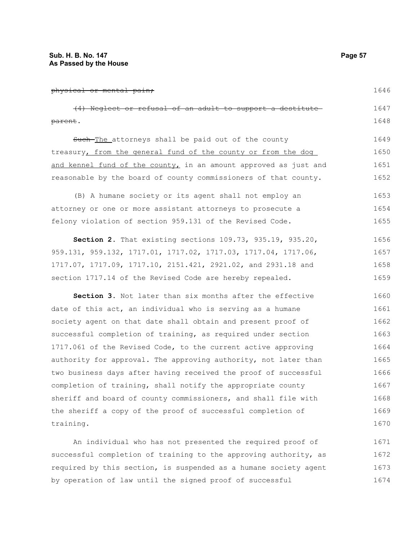physical or mental pain; (4) Neglect or refusal of an adult to support a destitute parent. Such-The attorneys shall be paid out of the county treasury, from the general fund of the county or from the dog and kennel fund of the county, in an amount approved as just and reasonable by the board of county commissioners of that county. (B) A humane society or its agent shall not employ an attorney or one or more assistant attorneys to prosecute a felony violation of section 959.131 of the Revised Code. **Section 2.** That existing sections 109.73, 935.19, 935.20, 959.131, 959.132, 1717.01, 1717.02, 1717.03, 1717.04, 1717.06, 1717.07, 1717.09, 1717.10, 2151.421, 2921.02, and 2931.18 and section 1717.14 of the Revised Code are hereby repealed. **Section 3.** Not later than six months after the effective date of this act, an individual who is serving as a humane society agent on that date shall obtain and present proof of successful completion of training, as required under section 1717.061 of the Revised Code, to the current active approving authority for approval. The approving authority, not later than two business days after having received the proof of successful completion of training, shall notify the appropriate county sheriff and board of county commissioners, and shall file with the sheriff a copy of the proof of successful completion of training. 1646 1647 1648 1649 1650 1651 1652 1653 1654 1655 1656 1657 1658 1659 1660 1661 1662 1663 1664 1665 1666 1667 1668 1669 1670

An individual who has not presented the required proof of successful completion of training to the approving authority, as required by this section, is suspended as a humane society agent by operation of law until the signed proof of successful 1671 1672 1673 1674